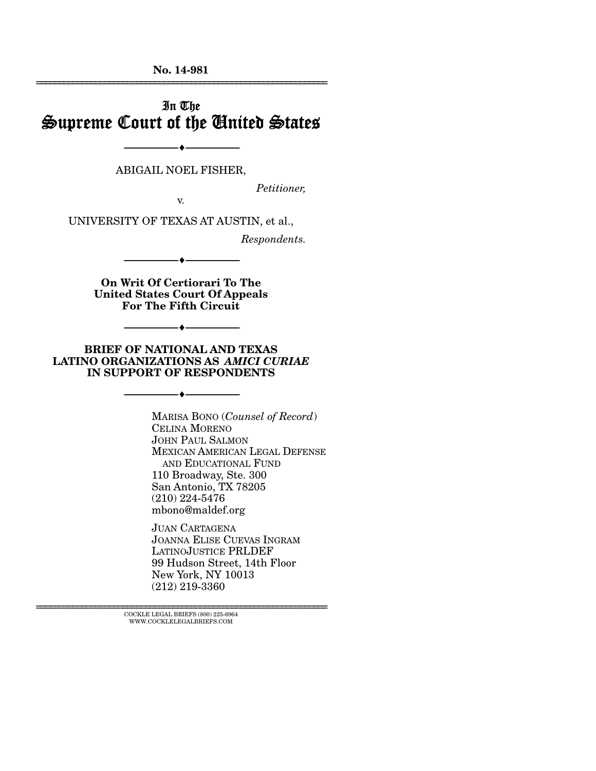**No. 14-981**  ================================================================

# In The Supreme Court of the United States

--------------------------------- --------------------------------- ABIGAIL NOEL FISHER,

*Petitioner,* 

v.

UNIVERSITY OF TEXAS AT AUSTIN, et al.,

*Respondents.* 

**On Writ Of Certiorari To The United States Court Of Appeals For The Fifth Circuit** 

--------------------------------- ---------------------------------

**BRIEF OF NATIONAL AND TEXAS LATINO ORGANIZATIONS AS** *AMICI CURIAE* **IN SUPPORT OF RESPONDENTS** 

--------------------------------- ---------------------------------

--------------------------------- ---------------------------------

MARISA BONO (*Counsel of Record*) CELINA MORENO JOHN PAUL SALMON MEXICAN AMERICAN LEGAL DEFENSE AND EDUCATIONAL FUND 110 Broadway, Ste. 300 San Antonio, TX 78205 (210) 224-5476 mbono@maldef.org

JUAN CARTAGENA JOANNA ELISE CUEVAS INGRAM LATINOJUSTICE PRLDEF 99 Hudson Street, 14th Floor New York, NY 10013 (212) 219-3360

 $\textsc{COCKLE}$  LEGAL BRIEFS (800) 225-6964 WWW.COCKLELEGALBRIEFS.COM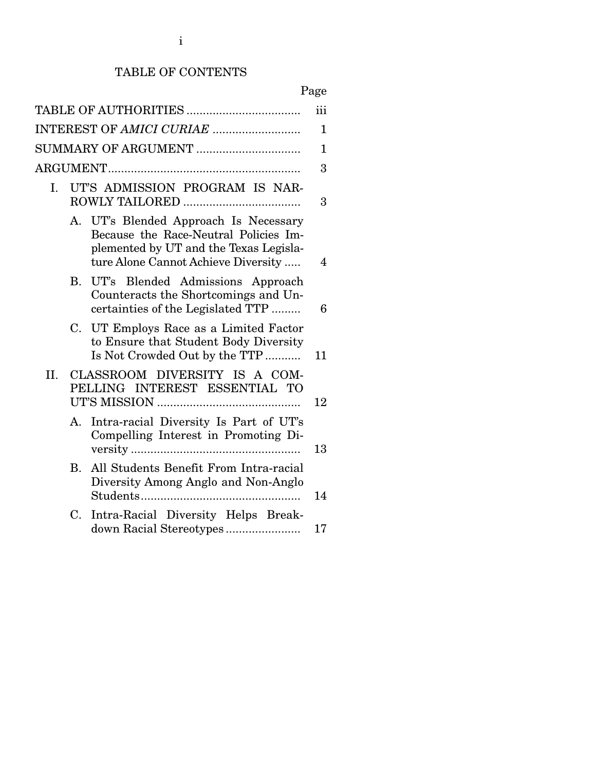# TABLE OF CONTENTS

# Page

| iii |             |                                                                                                                                                                 |    |
|-----|-------------|-----------------------------------------------------------------------------------------------------------------------------------------------------------------|----|
|     |             |                                                                                                                                                                 | 1  |
|     |             |                                                                                                                                                                 | 1  |
|     |             |                                                                                                                                                                 | 3  |
| I.  |             | UT'S ADMISSION PROGRAM IS NAR-                                                                                                                                  | 3  |
|     |             | A. UT's Blended Approach Is Necessary<br>Because the Race-Neutral Policies Im-<br>plemented by UT and the Texas Legisla-<br>ture Alone Cannot Achieve Diversity | 4  |
|     | $B_{\cdot}$ | UT's Blended Admissions Approach<br>Counteracts the Shortcomings and Un-<br>certainties of the Legislated TTP                                                   | 6  |
|     | C.          | UT Employs Race as a Limited Factor<br>to Ensure that Student Body Diversity<br>Is Not Crowded Out by the TTP                                                   | 11 |
| II. |             | CLASSROOM DIVERSITY IS A COM-<br>PELLING INTEREST ESSENTIAL TO                                                                                                  | 12 |
|     | A.          | Intra-racial Diversity Is Part of UT's<br>Compelling Interest in Promoting Di-                                                                                  | 13 |
|     | B.          | All Students Benefit From Intra-racial<br>Diversity Among Anglo and Non-Anglo                                                                                   | 14 |
|     | C.          | Intra-Racial Diversity Helps Break-                                                                                                                             | 17 |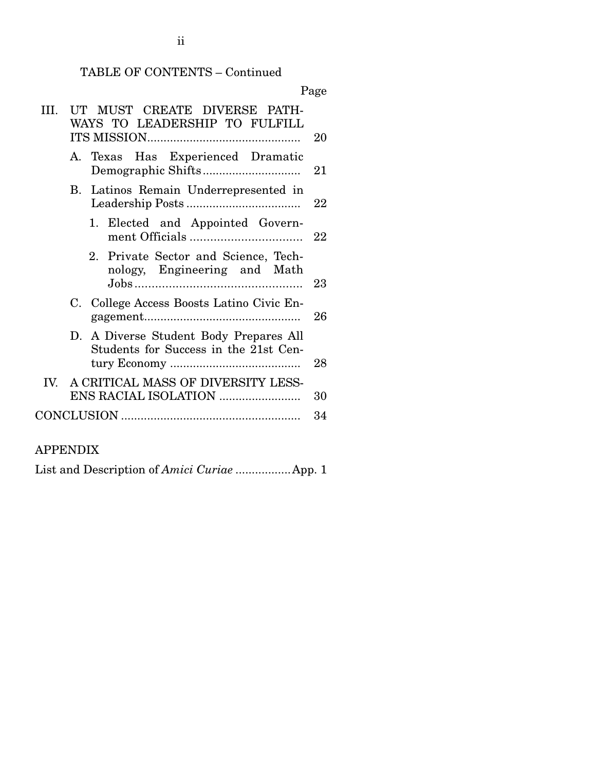# TABLE OF CONTENTS – Continued

|                         | Page                                                                                  |  |
|-------------------------|---------------------------------------------------------------------------------------|--|
| HL.                     | UT MUST CREATE DIVERSE PATH-<br>WAYS TO LEADERSHIP TO FULFILL<br>20                   |  |
|                         | A. Texas Has Experienced Dramatic<br>21                                               |  |
|                         | B. Latinos Remain Underrepresented in<br>22                                           |  |
|                         | 1. Elected and Appointed Govern-<br>22                                                |  |
|                         | 2. Private Sector and Science, Tech-<br>nology, Engineering and Math<br>23            |  |
|                         | C. College Access Boosts Latino Civic En-<br>26                                       |  |
|                         | D. A Diverse Student Body Prepares All<br>Students for Success in the 21st Cen-<br>28 |  |
| $\mathbf{I} \mathbf{V}$ | A CRITICAL MASS OF DIVERSITY LESS-<br>30                                              |  |
|                         | 34                                                                                    |  |

# APPENDIX

List and Description of *Amici Curiae* ................. App. 1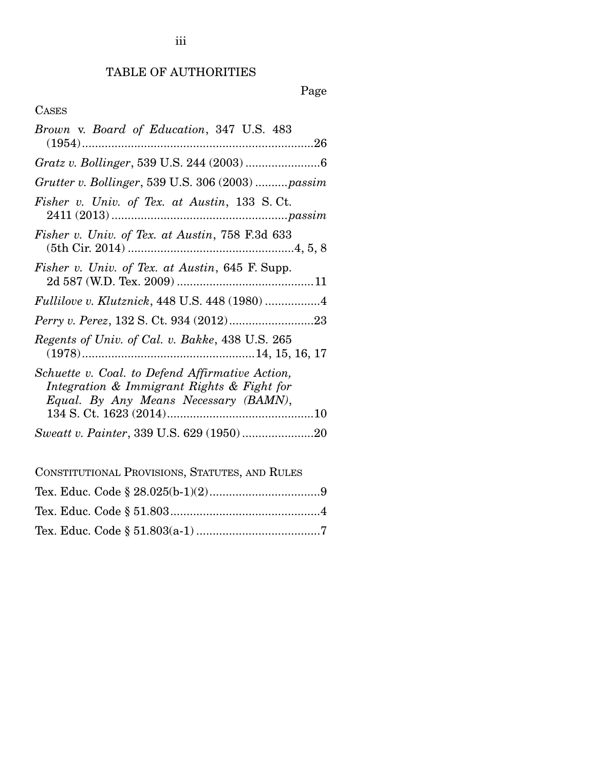# TABLE OF AUTHORITIES

# Page

# CASES

| Brown v. Board of Education, 347 U.S. 483                                                                                              |
|----------------------------------------------------------------------------------------------------------------------------------------|
|                                                                                                                                        |
| Grutter v. Bollinger, 539 U.S. 306 (2003)  passim                                                                                      |
| Fisher v. Univ. of Tex. at Austin, 133 S.Ct.                                                                                           |
| Fisher v. Univ. of Tex. at Austin, 758 F.3d 633                                                                                        |
| Fisher v. Univ. of Tex. at Austin, 645 F. Supp.                                                                                        |
|                                                                                                                                        |
|                                                                                                                                        |
| Regents of Univ. of Cal. v. Bakke, 438 U.S. 265                                                                                        |
| Schuette v. Coal. to Defend Affirmative Action,<br>Integration & Immigrant Rights & Fight for<br>Equal. By Any Means Necessary (BAMN), |
|                                                                                                                                        |
| CONSTITUTIONAL PROVISIONS, STATUTES, AND RULES                                                                                         |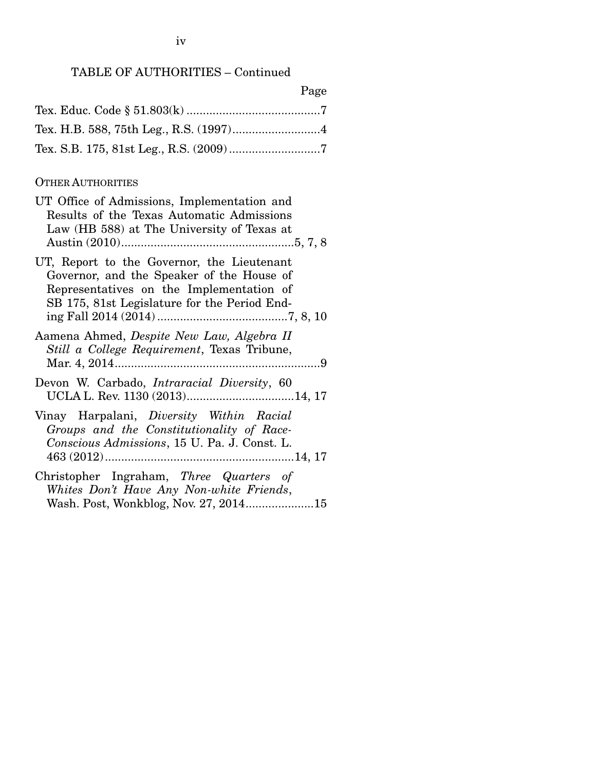Page

### OTHER AUTHORITIES

| UT Office of Admissions, Implementation and<br>Results of the Texas Automatic Admissions                                                                                            |
|-------------------------------------------------------------------------------------------------------------------------------------------------------------------------------------|
| Law (HB 588) at The University of Texas at                                                                                                                                          |
| UT, Report to the Governor, the Lieutenant<br>Governor, and the Speaker of the House of<br>Representatives on the Implementation of<br>SB 175, 81st Legislature for the Period End- |
| Aamena Ahmed, Despite New Law, Algebra II<br>Still a College Requirement, Texas Tribune,                                                                                            |
| Devon W. Carbado, <i>Intraracial Diversity</i> , 60<br>UCLA L. Rev. 1130 (2013)14, 17                                                                                               |
| Vinay Harpalani, Diversity Within Racial<br>Groups and the Constitutionality of Race-<br>Conscious Admissions, 15 U. Pa. J. Const. L.                                               |
| Christopher Ingraham, Three Quarters of<br>Whites Don't Have Any Non-white Friends,                                                                                                 |

Wash. Post, Wonkblog, Nov. 27, 2014 ..................... 15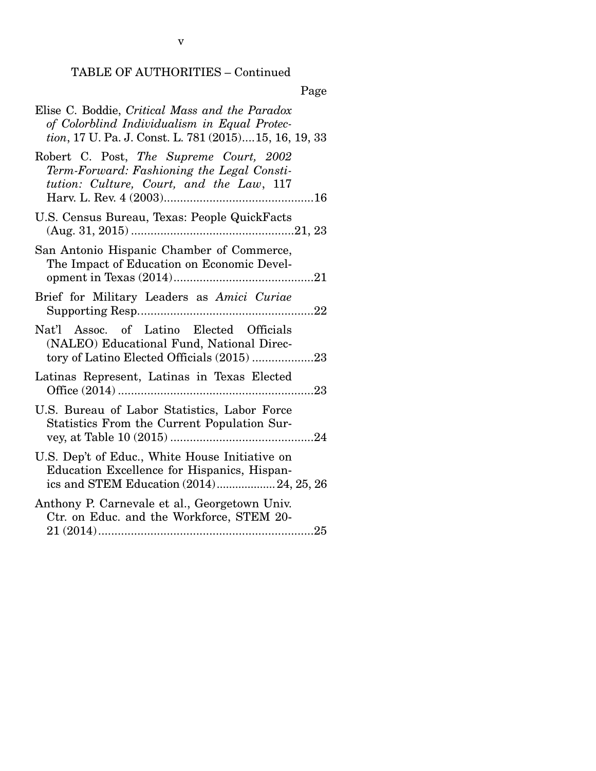# TABLE OF AUTHORITIES – Continued

| Elise C. Boddie, Critical Mass and the Paradox<br>of Colorblind Individualism in Equal Protec-<br>tion, 17 U. Pa. J. Const. L. 781 (2015) 15, 16, 19, 33 |
|----------------------------------------------------------------------------------------------------------------------------------------------------------|
| Robert C. Post, The Supreme Court, 2002<br>Term-Forward: Fashioning the Legal Consti-<br>tution: Culture, Court, and the Law, 117                        |
| U.S. Census Bureau, Texas: People QuickFacts                                                                                                             |
| San Antonio Hispanic Chamber of Commerce,<br>The Impact of Education on Economic Devel-                                                                  |
| Brief for Military Leaders as Amici Curiae<br>. 22                                                                                                       |
| Nat'l Assoc. of Latino Elected Officials<br>(NALEO) Educational Fund, National Direc-<br>tory of Latino Elected Officials (2015) 23                      |
| Latinas Represent, Latinas in Texas Elected                                                                                                              |
| U.S. Bureau of Labor Statistics, Labor Force<br>Statistics From the Current Population Sur-                                                              |
| U.S. Dep't of Educ., White House Initiative on<br>Education Excellence for Hispanics, Hispan-<br>ics and STEM Education (2014)24, 25, 26                 |
| Anthony P. Carnevale et al., Georgetown Univ.<br>Ctr. on Educ. and the Workforce, STEM 20-                                                               |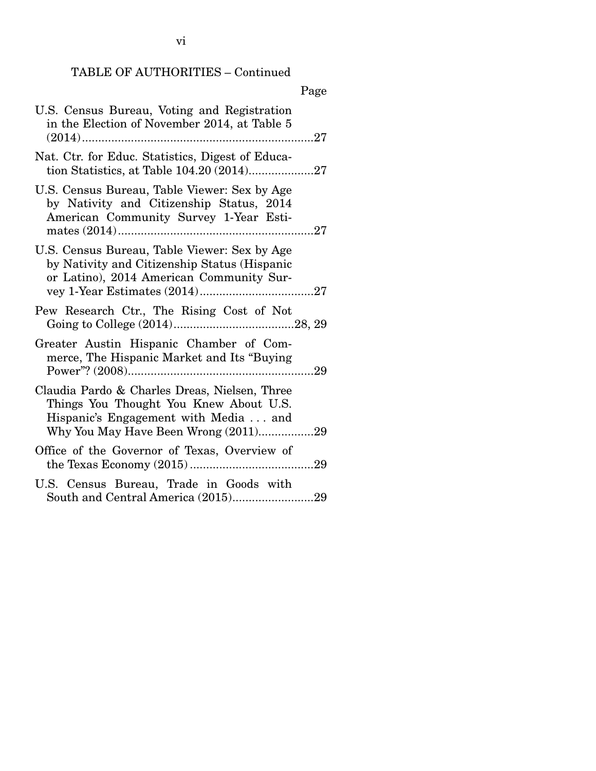# TABLE OF AUTHORITIES – Continued

# Page

| U.S. Census Bureau, Voting and Registration<br>in the Election of November 2014, at Table 5                                                                              |
|--------------------------------------------------------------------------------------------------------------------------------------------------------------------------|
|                                                                                                                                                                          |
| Nat. Ctr. for Educ. Statistics, Digest of Educa-<br>tion Statistics, at Table 104.20 (2014)27                                                                            |
| U.S. Census Bureau, Table Viewer: Sex by Age<br>by Nativity and Citizenship Status, 2014<br>American Community Survey 1-Year Esti-                                       |
| U.S. Census Bureau, Table Viewer: Sex by Age<br>by Nativity and Citizenship Status (Hispanic<br>or Latino), 2014 American Community Sur-                                 |
| Pew Research Ctr., The Rising Cost of Not                                                                                                                                |
| Greater Austin Hispanic Chamber of Com-<br>merce, The Hispanic Market and Its "Buying"                                                                                   |
| Claudia Pardo & Charles Dreas, Nielsen, Three<br>Things You Thought You Knew About U.S.<br>Hispanic's Engagement with Media  and<br>Why You May Have Been Wrong (2011)29 |
| Office of the Governor of Texas, Overview of                                                                                                                             |
| U.S. Census Bureau, Trade in Goods with<br>South and Central America (2015)29                                                                                            |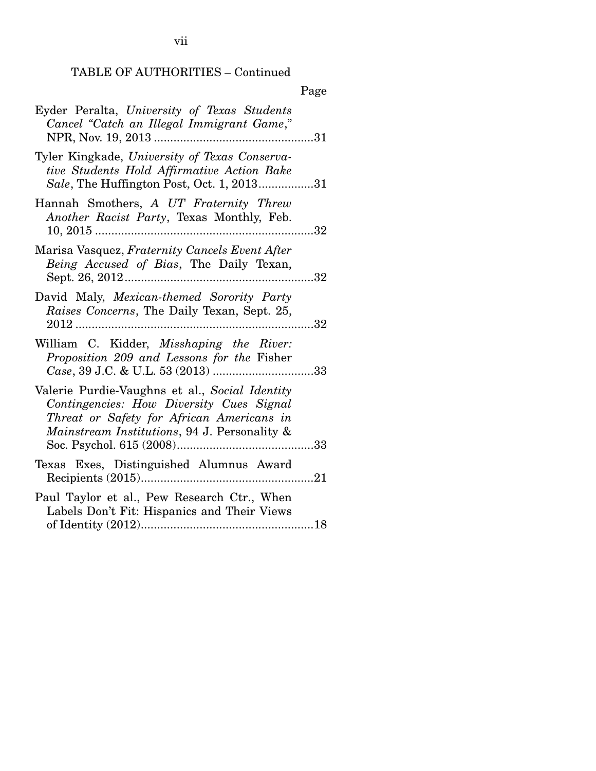TABLE OF AUTHORITIES – Continued

# Page

| Eyder Peralta, University of Texas Students<br>Cancel "Catch an Illegal Immigrant Game,"                                                                                                |  |
|-----------------------------------------------------------------------------------------------------------------------------------------------------------------------------------------|--|
| Tyler Kingkade, University of Texas Conserva-<br>tive Students Hold Affirmative Action Bake<br>Sale, The Huffington Post, Oct. 1, 201331                                                |  |
| Hannah Smothers, A UT Fraternity Threw<br>Another Racist Party, Texas Monthly, Feb.<br>32                                                                                               |  |
| Marisa Vasquez, Fraternity Cancels Event After<br>Being Accused of Bias, The Daily Texan,<br>Sept. 26, 2012<br>32                                                                       |  |
| David Maly, Mexican-themed Sorority Party<br>Raises Concerns, The Daily Texan, Sept. 25,<br>$2012$<br>32                                                                                |  |
| William C. Kidder, Misshaping the River:<br>Proposition 209 and Lessons for the Fisher                                                                                                  |  |
| Valerie Purdie-Vaughns et al., Social Identity<br>Contingencies: How Diversity Cues Signal<br>Threat or Safety for African Americans in<br>Mainstream Institutions, 94 J. Personality & |  |
| Texas Exes, Distinguished Alumnus Award                                                                                                                                                 |  |
| Paul Taylor et al., Pew Research Ctr., When<br>Labels Don't Fit: Hispanics and Their Views                                                                                              |  |

vii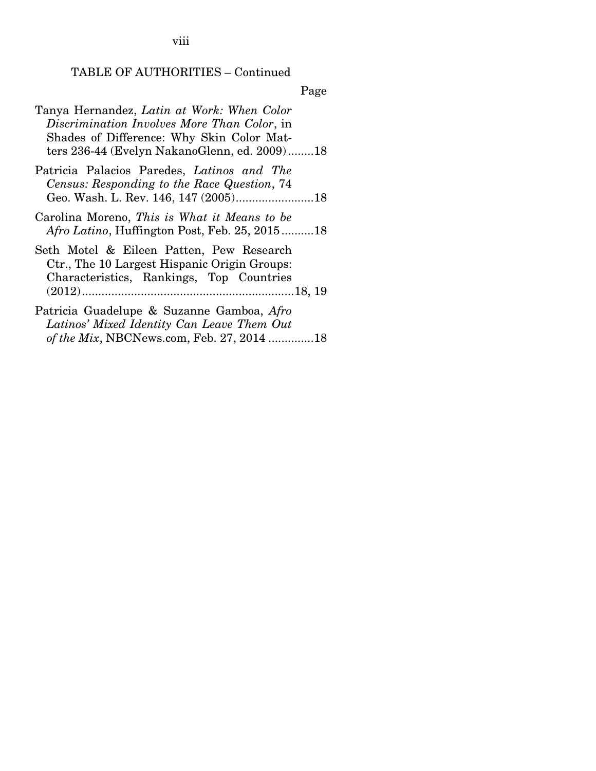viii

# TABLE OF AUTHORITIES – Continued

Page

| Tanya Hernandez, Latin at Work: When Color<br>Discrimination Involves More Than Color, in<br>Shades of Difference: Why Skin Color Mat-<br>ters 236-44 (Evelyn NakanoGlenn, ed. 2009)18 |
|----------------------------------------------------------------------------------------------------------------------------------------------------------------------------------------|
| Patricia Palacios Paredes, Latinos and The<br>Census: Responding to the Race Question, 74                                                                                              |
| Carolina Moreno, This is What it Means to be<br>Afro Latino, Huffington Post, Feb. 25, 201518                                                                                          |
| Seth Motel & Eileen Patten, Pew Research<br>Ctr., The 10 Largest Hispanic Origin Groups:<br>Characteristics, Rankings, Top Countries                                                   |
| Patricia Guadelupe & Suzanne Gamboa, Afro<br>Latinos' Mixed Identity Can Leave Them Out                                                                                                |
| of the Mix, NBCNews.com, Feb. 27, 2014 18                                                                                                                                              |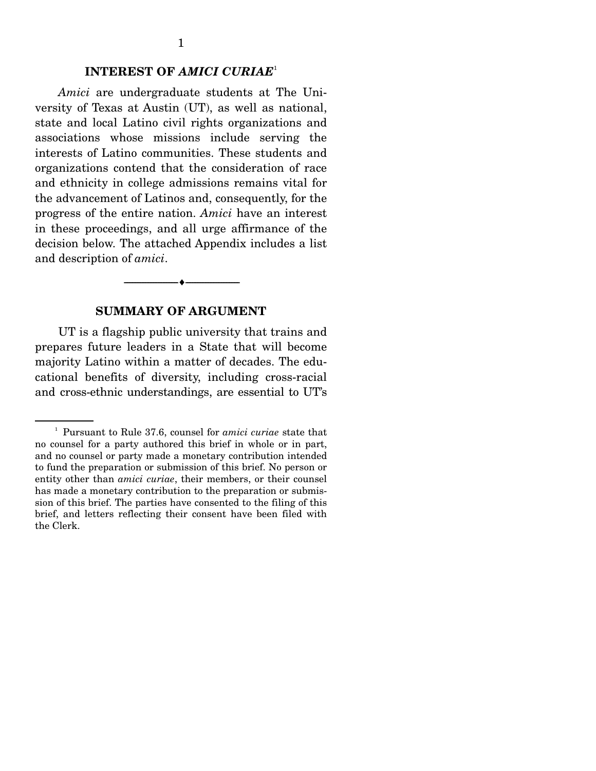### **INTEREST OF** *AMICI CURIAE*<sup>1</sup>

*Amici* are undergraduate students at The University of Texas at Austin (UT), as well as national, state and local Latino civil rights organizations and associations whose missions include serving the interests of Latino communities. These students and organizations contend that the consideration of race and ethnicity in college admissions remains vital for the advancement of Latinos and, consequently, for the progress of the entire nation. *Amici* have an interest in these proceedings, and all urge affirmance of the decision below. The attached Appendix includes a list and description of *amici*.

#### **SUMMARY OF ARGUMENT**

--------------------------------- ---------------------------------

 UT is a flagship public university that trains and prepares future leaders in a State that will become majority Latino within a matter of decades. The educational benefits of diversity, including cross-racial and cross-ethnic understandings, are essential to UT's

<sup>1</sup> Pursuant to Rule 37.6, counsel for *amici curiae* state that no counsel for a party authored this brief in whole or in part, and no counsel or party made a monetary contribution intended to fund the preparation or submission of this brief. No person or entity other than *amici curiae*, their members, or their counsel has made a monetary contribution to the preparation or submission of this brief. The parties have consented to the filing of this brief, and letters reflecting their consent have been filed with the Clerk.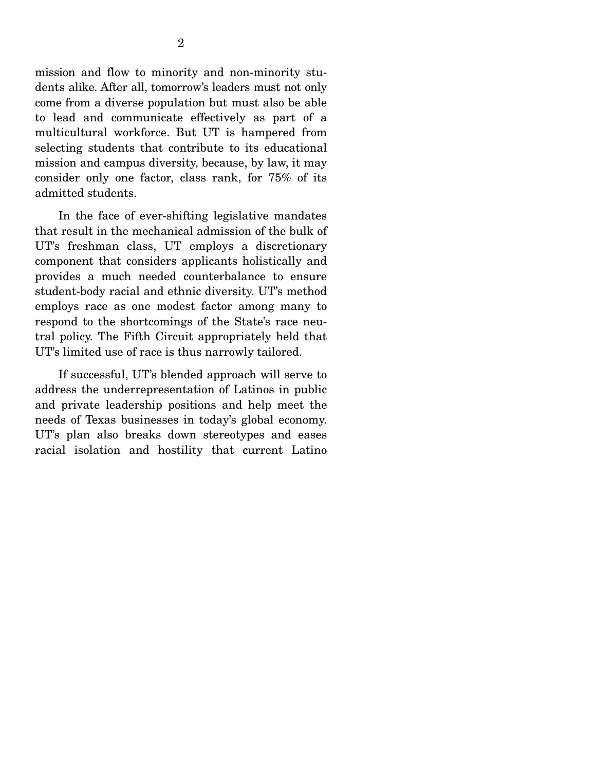mission and flow to minority and non-minority students alike. After all, tomorrow's leaders must not only come from a diverse population but must also be able to lead and communicate effectively as part of a multicultural workforce. But UT is hampered from selecting students that contribute to its educational mission and campus diversity, because, by law, it may consider only one factor, class rank, for 75% of its admitted students.

 In the face of ever-shifting legislative mandates that result in the mechanical admission of the bulk of UT's freshman class, UT employs a discretionary component that considers applicants holistically and provides a much needed counterbalance to ensure student-body racial and ethnic diversity. UT's method employs race as one modest factor among many to respond to the shortcomings of the State's race neutral policy. The Fifth Circuit appropriately held that UT's limited use of race is thus narrowly tailored.

 If successful, UT's blended approach will serve to address the underrepresentation of Latinos in public and private leadership positions and help meet the needs of Texas businesses in today's global economy. UT's plan also breaks down stereotypes and eases racial isolation and hostility that current Latino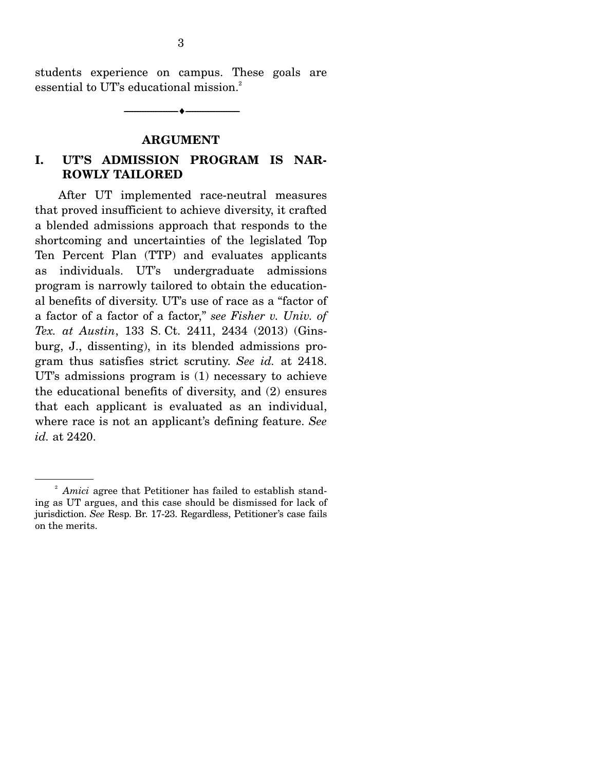students experience on campus. These goals are essential to UT's educational mission.<sup>2</sup>

--------------------------------- ---------------------------------

### **ARGUMENT**

### **I. UT'S ADMISSION PROGRAM IS NAR-ROWLY TAILORED**

 After UT implemented race-neutral measures that proved insufficient to achieve diversity, it crafted a blended admissions approach that responds to the shortcoming and uncertainties of the legislated Top Ten Percent Plan (TTP) and evaluates applicants as individuals. UT's undergraduate admissions program is narrowly tailored to obtain the educational benefits of diversity. UT's use of race as a "factor of a factor of a factor of a factor," *see Fisher v. Univ. of Tex. at Austin*, 133 S. Ct. 2411, 2434 (2013) (Ginsburg, J., dissenting), in its blended admissions program thus satisfies strict scrutiny. *See id.* at 2418. UT's admissions program is (1) necessary to achieve the educational benefits of diversity, and (2) ensures that each applicant is evaluated as an individual, where race is not an applicant's defining feature. *See id.* at 2420.

<sup>&</sup>lt;sup>2</sup> Amici agree that Petitioner has failed to establish standing as UT argues, and this case should be dismissed for lack of jurisdiction. *See* Resp. Br. 17-23. Regardless, Petitioner's case fails on the merits.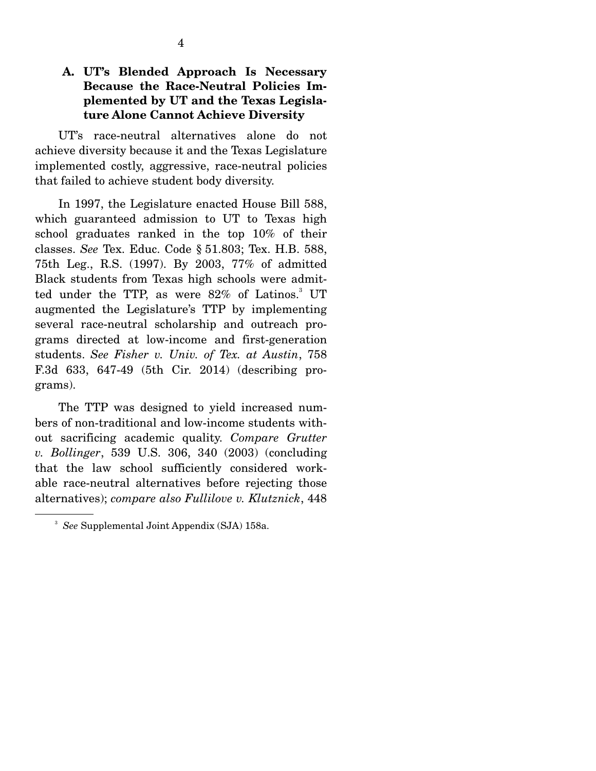### **A. UT's Blended Approach Is Necessary Because the Race-Neutral Policies Implemented by UT and the Texas Legislature Alone Cannot Achieve Diversity**

 UT's race-neutral alternatives alone do not achieve diversity because it and the Texas Legislature implemented costly, aggressive, race-neutral policies that failed to achieve student body diversity.

 In 1997, the Legislature enacted House Bill 588, which guaranteed admission to UT to Texas high school graduates ranked in the top 10% of their classes. *See* Tex. Educ. Code § 51.803; Tex. H.B. 588, 75th Leg., R.S. (1997). By 2003, 77% of admitted Black students from Texas high schools were admitted under the TTP, as were 82% of Latinos.<sup>3</sup> UT augmented the Legislature's TTP by implementing several race-neutral scholarship and outreach programs directed at low-income and first-generation students. *See Fisher v. Univ. of Tex. at Austin*, 758 F.3d 633, 647-49 (5th Cir. 2014) (describing programs).

 The TTP was designed to yield increased numbers of non-traditional and low-income students without sacrificing academic quality. *Compare Grutter v. Bollinger*, 539 U.S. 306, 340 (2003) (concluding that the law school sufficiently considered workable race-neutral alternatives before rejecting those alternatives); *compare also Fullilove v. Klutznick*, 448

<sup>3</sup> *See* Supplemental Joint Appendix (SJA) 158a.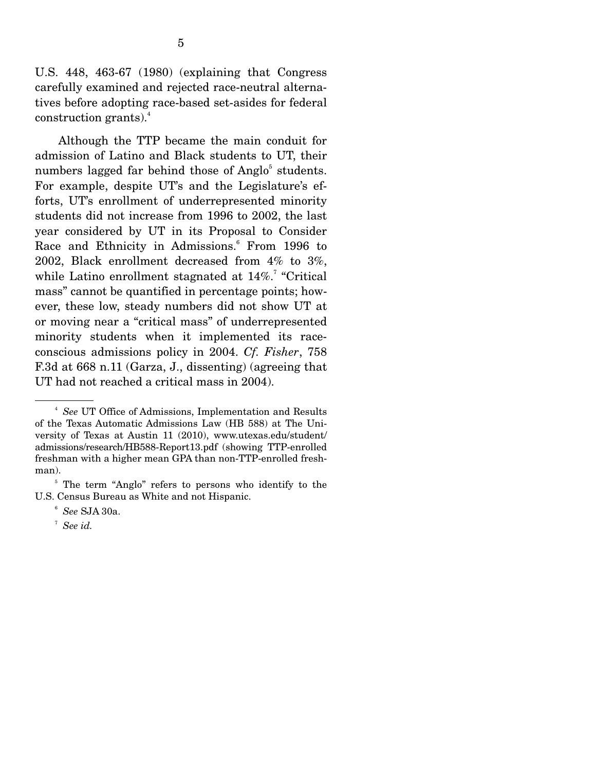U.S. 448, 463-67 (1980) (explaining that Congress carefully examined and rejected race-neutral alternatives before adopting race-based set-asides for federal construction grants).4

 Although the TTP became the main conduit for admission of Latino and Black students to UT, their numbers lagged far behind those of Anglo<sup>5</sup> students. For example, despite UT's and the Legislature's efforts, UT's enrollment of underrepresented minority students did not increase from 1996 to 2002, the last year considered by UT in its Proposal to Consider Race and Ethnicity in Admissions.<sup>6</sup> From 1996 to 2002, Black enrollment decreased from 4% to 3%, while Latino enrollment stagnated at  $14\%$ .<sup>7</sup> "Critical mass" cannot be quantified in percentage points; however, these low, steady numbers did not show UT at or moving near a "critical mass" of underrepresented minority students when it implemented its raceconscious admissions policy in 2004. *Cf. Fisher*, 758 F.3d at 668 n.11 (Garza, J., dissenting) (agreeing that UT had not reached a critical mass in 2004).

<sup>4</sup> *See* UT Office of Admissions, Implementation and Results of the Texas Automatic Admissions Law (HB 588) at The University of Texas at Austin 11 (2010), www.utexas.edu/student/ admissions/research/HB588-Report13.pdf (showing TTP-enrolled freshman with a higher mean GPA than non-TTP-enrolled freshman).

<sup>&</sup>lt;sup>5</sup> The term "Anglo" refers to persons who identify to the U.S. Census Bureau as White and not Hispanic.

<sup>6</sup> *See* SJA 30a. 7

*See id.*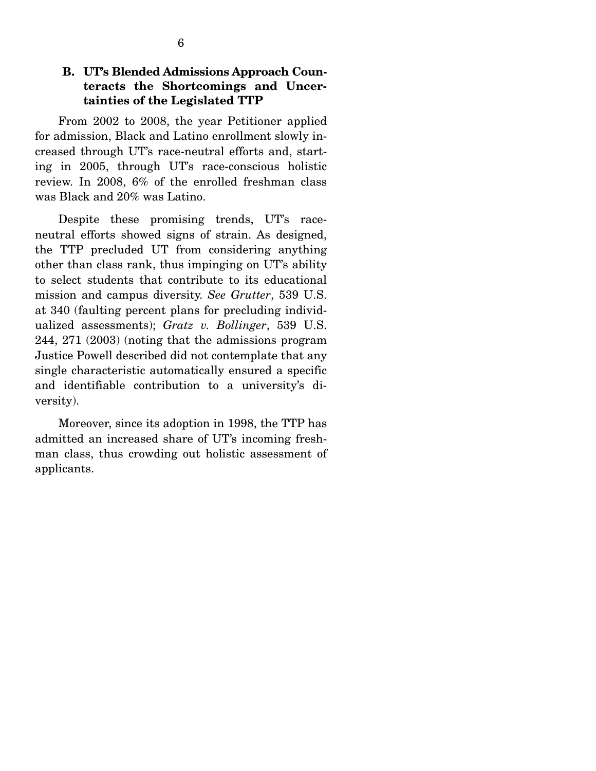From 2002 to 2008, the year Petitioner applied for admission, Black and Latino enrollment slowly increased through UT's race-neutral efforts and, starting in 2005, through UT's race-conscious holistic review. In 2008, 6% of the enrolled freshman class was Black and 20% was Latino.

 Despite these promising trends, UT's raceneutral efforts showed signs of strain. As designed, the TTP precluded UT from considering anything other than class rank, thus impinging on UT's ability to select students that contribute to its educational mission and campus diversity. *See Grutter*, 539 U.S. at 340 (faulting percent plans for precluding individualized assessments); *Gratz v. Bollinger*, 539 U.S. 244, 271 (2003) (noting that the admissions program Justice Powell described did not contemplate that any single characteristic automatically ensured a specific and identifiable contribution to a university's diversity).

 Moreover, since its adoption in 1998, the TTP has admitted an increased share of UT's incoming freshman class, thus crowding out holistic assessment of applicants.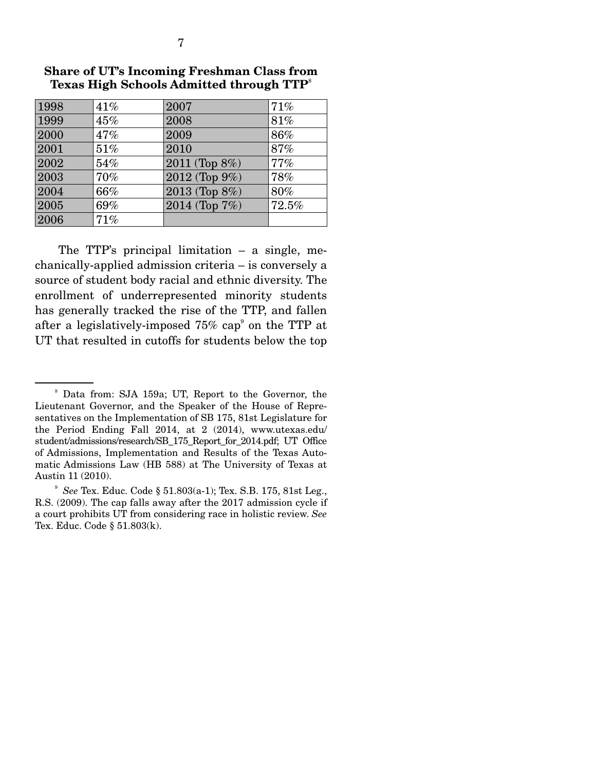| 1998 | 41% | 2007          | 71%   |
|------|-----|---------------|-------|
| 1999 | 45% | 2008          | 81%   |
| 2000 | 47% | 2009          | 86%   |
| 2001 | 51% | 2010          | 87%   |
| 2002 | 54% | 2011 (Top 8%) | 77%   |
| 2003 | 70% | 2012 (Top 9%) | 78%   |
| 2004 | 66% | 2013 (Top 8%) | 80%   |
| 2005 | 69% | 2014 (Top 7%) | 72.5% |
| 2006 | 71% |               |       |

**Share of UT's Incoming Freshman Class from Texas High Schools Admitted through TTP**<sup>8</sup>

 The TTP's principal limitation – a single, mechanically-applied admission criteria – is conversely a source of student body racial and ethnic diversity. The enrollment of underrepresented minority students has generally tracked the rise of the TTP, and fallen after a legislatively-imposed  $75\%$  cap<sup>9</sup> on the TTP at UT that resulted in cutoffs for students below the top

<sup>8</sup> Data from: SJA 159a; UT, Report to the Governor, the Lieutenant Governor, and the Speaker of the House of Representatives on the Implementation of SB 175, 81st Legislature for the Period Ending Fall 2014, at 2 (2014), www.utexas.edu/ student/admissions/research/SB\_175\_Report\_for\_2014.pdf; UT Office of Admissions, Implementation and Results of the Texas Automatic Admissions Law (HB 588) at The University of Texas at Austin 11 (2010).

<sup>9</sup> *See* Tex. Educ. Code § 51.803(a-1); Tex. S.B. 175, 81st Leg., R.S. (2009). The cap falls away after the 2017 admission cycle if a court prohibits UT from considering race in holistic review. *See*  Tex. Educ. Code § 51.803(k).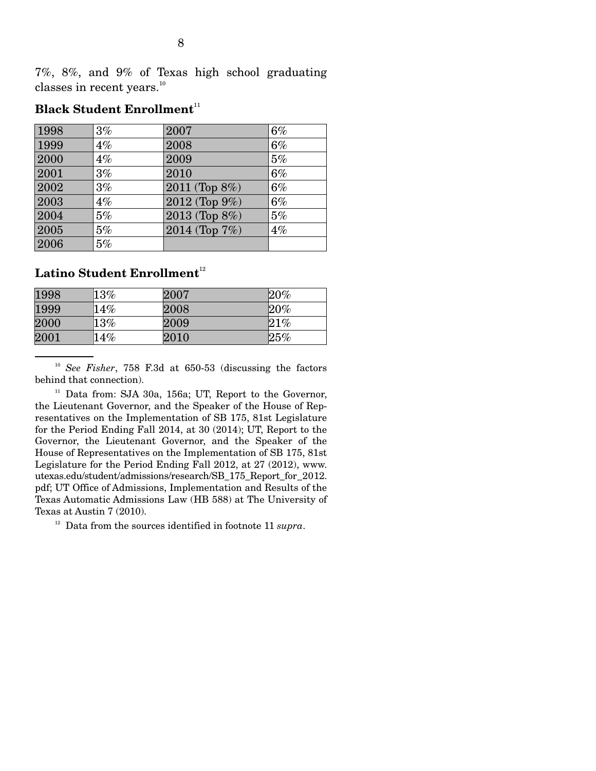7%, 8%, and 9% of Texas high school graduating classes in recent years.<sup>10</sup>

# **Black Student Enrollment**<sup>11</sup>

| 1998 | 3% | 2007              | 6% |
|------|----|-------------------|----|
| 1999 | 4% | 2008              | 6% |
| 2000 | 4% | 2009              | 5% |
| 2001 | 3% | 2010              | 6% |
| 2002 | 3% | 2011 (Top $8\%$ ) | 6% |
| 2003 | 4% | 2012 (Top 9%)     | 6% |
| 2004 | 5% | 2013 (Top 8%)     | 5% |
| 2005 | 5% | 2014 (Top 7%)     | 4% |
| 2006 | 5% |                   |    |

# Latino Student Enrollment<sup>12</sup>

| 1998 | $13\%$ | 2007     | 20%     |
|------|--------|----------|---------|
| 1999 | $14\%$ | 2008     | 20%     |
| 2000 | $13\%$ | 2009     | $121\%$ |
| 2001 | $14\%$ | $2010\,$ | 25%     |

<sup>10</sup> *See Fisher*, 758 F.3d at 650-53 (discussing the factors behind that connection).

<sup>11</sup> Data from: SJA 30a, 156a; UT, Report to the Governor, the Lieutenant Governor, and the Speaker of the House of Representatives on the Implementation of SB 175, 81st Legislature for the Period Ending Fall 2014, at 30 (2014); UT, Report to the Governor, the Lieutenant Governor, and the Speaker of the House of Representatives on the Implementation of SB 175, 81st Legislature for the Period Ending Fall 2012, at 27 (2012), www. utexas.edu/student/admissions/research/SB\_175\_Report\_for\_2012. pdf; UT Office of Admissions, Implementation and Results of the Texas Automatic Admissions Law (HB 588) at The University of Texas at Austin 7 (2010).

<sup>12</sup> Data from the sources identified in footnote 11 *supra*.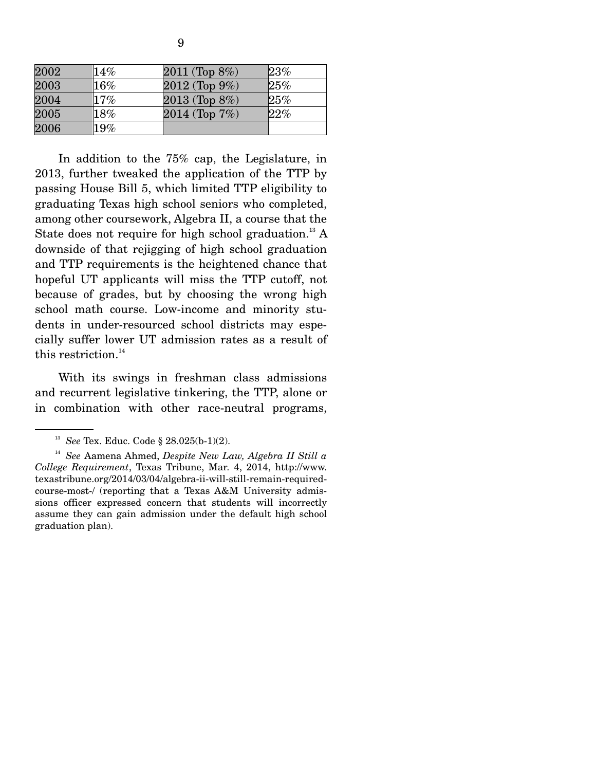| 2002 | $14\%$ | $2011$ (Top $8\%)$ | 23%    |
|------|--------|--------------------|--------|
| 2003 | $16\%$ | $2012$ (Top $9\%)$ | $25\%$ |
| 2004 | 17%    | $2013$ (Top $8\%)$ | 25%    |
| 2005 | $18\%$ | $2014$ (Top 7%)    | $22\%$ |
| 2006 | $19\%$ |                    |        |

 In addition to the 75% cap, the Legislature, in 2013, further tweaked the application of the TTP by passing House Bill 5, which limited TTP eligibility to graduating Texas high school seniors who completed, among other coursework, Algebra II, a course that the State does not require for high school graduation.<sup>13</sup> A downside of that rejigging of high school graduation and TTP requirements is the heightened chance that hopeful UT applicants will miss the TTP cutoff, not because of grades, but by choosing the wrong high school math course. Low-income and minority students in under-resourced school districts may especially suffer lower UT admission rates as a result of this restriction. $14$ 

 With its swings in freshman class admissions and recurrent legislative tinkering, the TTP, alone or in combination with other race-neutral programs,

<sup>13</sup> *See* Tex. Educ. Code § 28.025(b-1)(2).

<sup>14</sup> *See* Aamena Ahmed, *Despite New Law, Algebra II Still a College Requirement*, Texas Tribune, Mar. 4, 2014, http://www. texastribune.org/2014/03/04/algebra-ii-will-still-remain-requiredcourse-most-/ (reporting that a Texas A&M University admissions officer expressed concern that students will incorrectly assume they can gain admission under the default high school graduation plan).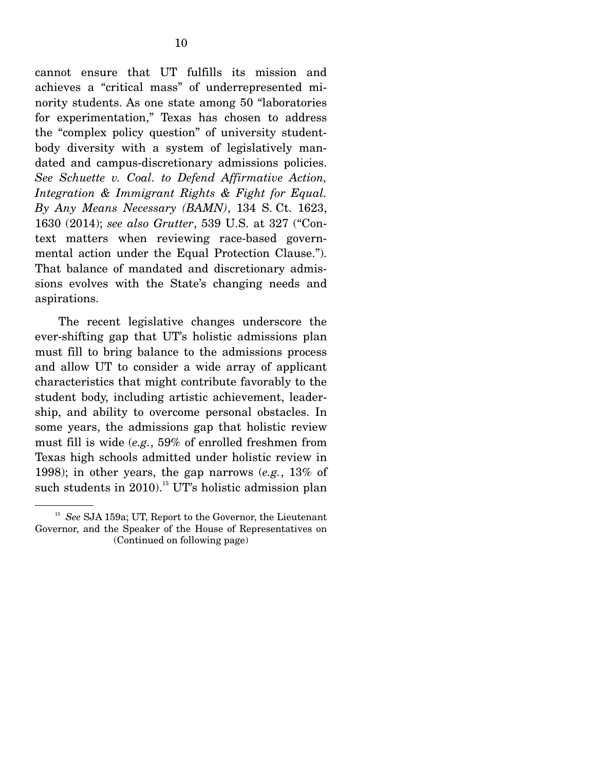cannot ensure that UT fulfills its mission and achieves a "critical mass" of underrepresented minority students. As one state among 50 "laboratories for experimentation," Texas has chosen to address the "complex policy question" of university studentbody diversity with a system of legislatively mandated and campus-discretionary admissions policies. *See Schuette v. Coal. to Defend Affirmative Action, Integration & Immigrant Rights & Fight for Equal. By Any Means Necessary (BAMN)*, 134 S. Ct. 1623, 1630 (2014); *see also Grutter*, 539 U.S. at 327 ("Context matters when reviewing race-based governmental action under the Equal Protection Clause."). That balance of mandated and discretionary admissions evolves with the State's changing needs and aspirations.

 The recent legislative changes underscore the ever-shifting gap that UT's holistic admissions plan must fill to bring balance to the admissions process and allow UT to consider a wide array of applicant characteristics that might contribute favorably to the student body, including artistic achievement, leadership, and ability to overcome personal obstacles. In some years, the admissions gap that holistic review must fill is wide (*e.g.*, 59% of enrolled freshmen from Texas high schools admitted under holistic review in 1998); in other years, the gap narrows (*e.g.*, 13% of such students in  $2010$ .<sup>15</sup> UT's holistic admission plan

<sup>&</sup>lt;sup>15</sup> *See* SJA 159a; UT, Report to the Governor, the Lieutenant Governor, and the Speaker of the House of Representatives on (Continued on following page)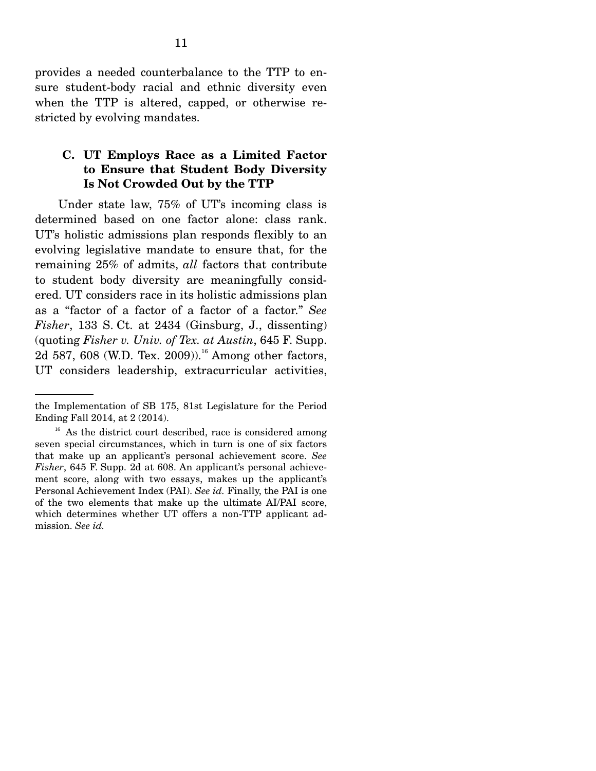provides a needed counterbalance to the TTP to ensure student-body racial and ethnic diversity even when the TTP is altered, capped, or otherwise restricted by evolving mandates.

### **C. UT Employs Race as a Limited Factor to Ensure that Student Body Diversity Is Not Crowded Out by the TTP**

 Under state law, 75% of UT's incoming class is determined based on one factor alone: class rank. UT's holistic admissions plan responds flexibly to an evolving legislative mandate to ensure that, for the remaining 25% of admits, *all* factors that contribute to student body diversity are meaningfully considered. UT considers race in its holistic admissions plan as a "factor of a factor of a factor of a factor." *See Fisher*, 133 S. Ct. at 2434 (Ginsburg, J., dissenting) (quoting *Fisher v. Univ. of Tex. at Austin*, 645 F. Supp. 2d 587, 608 (W.D. Tex. 2009)).<sup>16</sup> Among other factors, UT considers leadership, extracurricular activities,

the Implementation of SB 175, 81st Legislature for the Period Ending Fall 2014, at 2 (2014).

 $16$  As the district court described, race is considered among seven special circumstances, which in turn is one of six factors that make up an applicant's personal achievement score. *See Fisher*, 645 F. Supp. 2d at 608. An applicant's personal achievement score, along with two essays, makes up the applicant's Personal Achievement Index (PAI). *See id.* Finally, the PAI is one of the two elements that make up the ultimate AI/PAI score, which determines whether UT offers a non-TTP applicant admission. *See id.*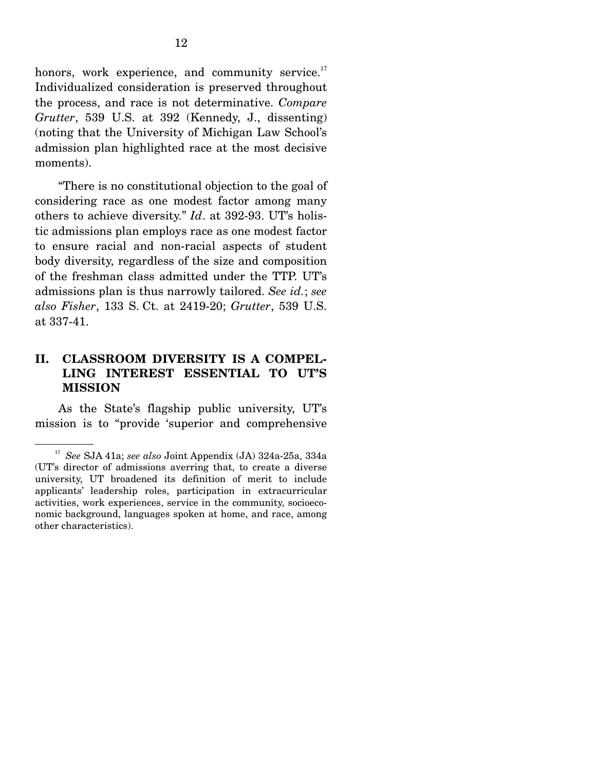honors, work experience, and community service. $17$ Individualized consideration is preserved throughout the process, and race is not determinative. *Compare Grutter*, 539 U.S. at 392 (Kennedy, J., dissenting) (noting that the University of Michigan Law School's admission plan highlighted race at the most decisive moments).

 "There is no constitutional objection to the goal of considering race as one modest factor among many others to achieve diversity." *Id*. at 392-93. UT's holistic admissions plan employs race as one modest factor to ensure racial and non-racial aspects of student body diversity, regardless of the size and composition of the freshman class admitted under the TTP. UT's admissions plan is thus narrowly tailored. *See id.*; *see also Fisher*, 133 S. Ct. at 2419-20; *Grutter*, 539 U.S. at 337-41.

### **II. CLASSROOM DIVERSITY IS A COMPEL-LING INTEREST ESSENTIAL TO UT'S MISSION**

 As the State's flagship public university, UT's mission is to "provide 'superior and comprehensive

<sup>17</sup> *See* SJA 41a; *see also* Joint Appendix (JA) 324a-25a, 334a (UT's director of admissions averring that, to create a diverse university, UT broadened its definition of merit to include applicants' leadership roles, participation in extracurricular activities, work experiences, service in the community, socioeconomic background, languages spoken at home, and race, among other characteristics).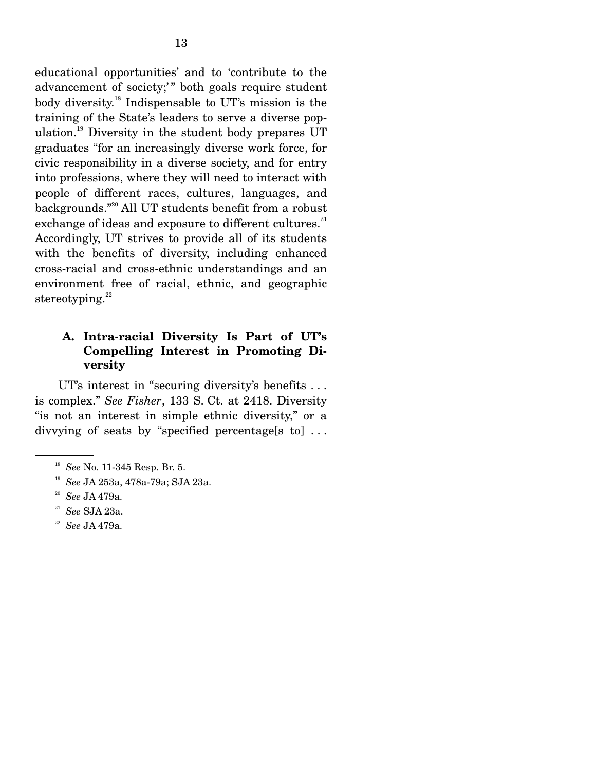educational opportunities' and to 'contribute to the advancement of society;" both goals require student body diversity.18 Indispensable to UT's mission is the training of the State's leaders to serve a diverse population.19 Diversity in the student body prepares UT graduates "for an increasingly diverse work force, for civic responsibility in a diverse society, and for entry into professions, where they will need to interact with people of different races, cultures, languages, and backgrounds."20 All UT students benefit from a robust exchange of ideas and exposure to different cultures. $21$ Accordingly, UT strives to provide all of its students with the benefits of diversity, including enhanced cross-racial and cross-ethnic understandings and an environment free of racial, ethnic, and geographic stereotyping. $22$ 

### **A. Intra-racial Diversity Is Part of UT's Compelling Interest in Promoting Diversity**

 UT's interest in "securing diversity's benefits . . . is complex." *See Fisher*, 133 S. Ct. at 2418. Diversity "is not an interest in simple ethnic diversity," or a divvying of seats by "specified percentage[s to]  $\dots$ 

<sup>18</sup> *See* No. 11-345 Resp. Br. 5. 19 *See* JA 253a, 478a-79a; SJA 23a.

<sup>20</sup> *See* JA 479a.

<sup>21</sup> *See* SJA 23a. 22 *See* JA 479a.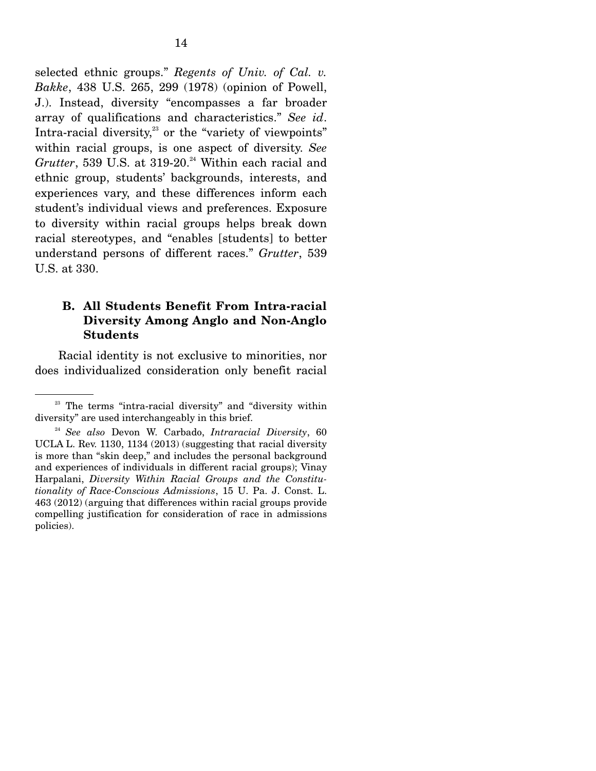selected ethnic groups." *Regents of Univ. of Cal. v. Bakke*, 438 U.S. 265, 299 (1978) (opinion of Powell, J.). Instead, diversity "encompasses a far broader array of qualifications and characteristics." *See id*. Intra-racial diversity, $23$  or the "variety of viewpoints" within racial groups, is one aspect of diversity. *See Grutter*, 539 U.S. at 319-20.<sup>24</sup> Within each racial and ethnic group, students' backgrounds, interests, and experiences vary, and these differences inform each student's individual views and preferences. Exposure to diversity within racial groups helps break down racial stereotypes, and "enables [students] to better understand persons of different races." *Grutter*, 539 U.S. at 330.

### **B. All Students Benefit From Intra-racial Diversity Among Anglo and Non-Anglo Students**

 Racial identity is not exclusive to minorities, nor does individualized consideration only benefit racial

<sup>&</sup>lt;sup>23</sup> The terms "intra-racial diversity" and "diversity within diversity" are used interchangeably in this brief.

<sup>24</sup> *See also* Devon W. Carbado, *Intraracial Diversity*, 60 UCLA L. Rev. 1130, 1134 (2013) (suggesting that racial diversity is more than "skin deep," and includes the personal background and experiences of individuals in different racial groups); Vinay Harpalani, *Diversity Within Racial Groups and the Constitutionality of Race-Conscious Admissions*, 15 U. Pa. J. Const. L. 463 (2012) (arguing that differences within racial groups provide compelling justification for consideration of race in admissions policies).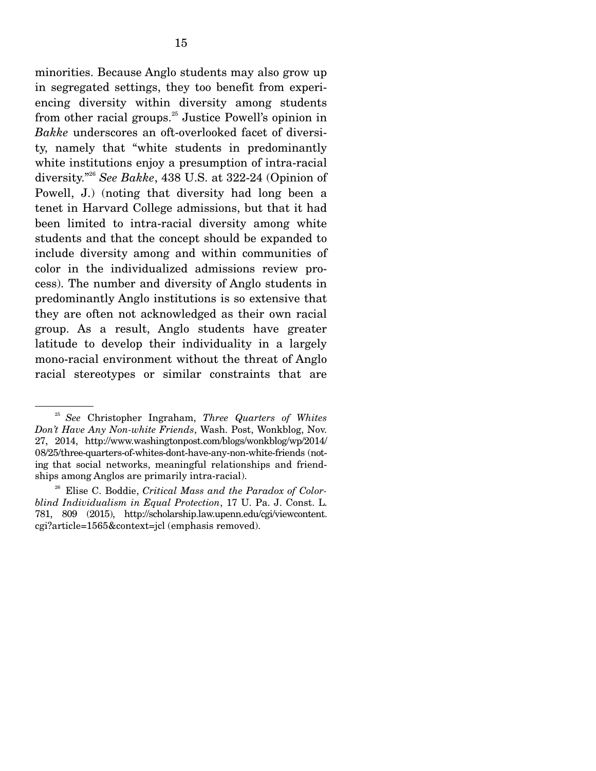minorities. Because Anglo students may also grow up in segregated settings, they too benefit from experiencing diversity within diversity among students from other racial groups. $25$  Justice Powell's opinion in *Bakke* underscores an oft-overlooked facet of diversity, namely that "white students in predominantly white institutions enjoy a presumption of intra-racial diversity."26 *See Bakke*, 438 U.S. at 322-24 (Opinion of Powell, J.) (noting that diversity had long been a tenet in Harvard College admissions, but that it had been limited to intra-racial diversity among white students and that the concept should be expanded to include diversity among and within communities of color in the individualized admissions review process). The number and diversity of Anglo students in predominantly Anglo institutions is so extensive that they are often not acknowledged as their own racial group. As a result, Anglo students have greater latitude to develop their individuality in a largely mono-racial environment without the threat of Anglo racial stereotypes or similar constraints that are

<sup>25</sup> *See* Christopher Ingraham, *Three Quarters of Whites Don't Have Any Non-white Friends*, Wash. Post, Wonkblog, Nov. 27, 2014, http://www.washingtonpost.com/blogs/wonkblog/wp/2014/ 08/25/three-quarters-of-whites-dont-have-any-non-white-friends (noting that social networks, meaningful relationships and friendships among Anglos are primarily intra-racial).

<sup>26</sup> Elise C. Boddie, *Critical Mass and the Paradox of Colorblind Individualism in Equal Protection*, 17 U. Pa. J. Const. L. 781, 809 (2015), http://scholarship.law.upenn.edu/cgi/viewcontent. cgi?article=1565&context=jcl (emphasis removed).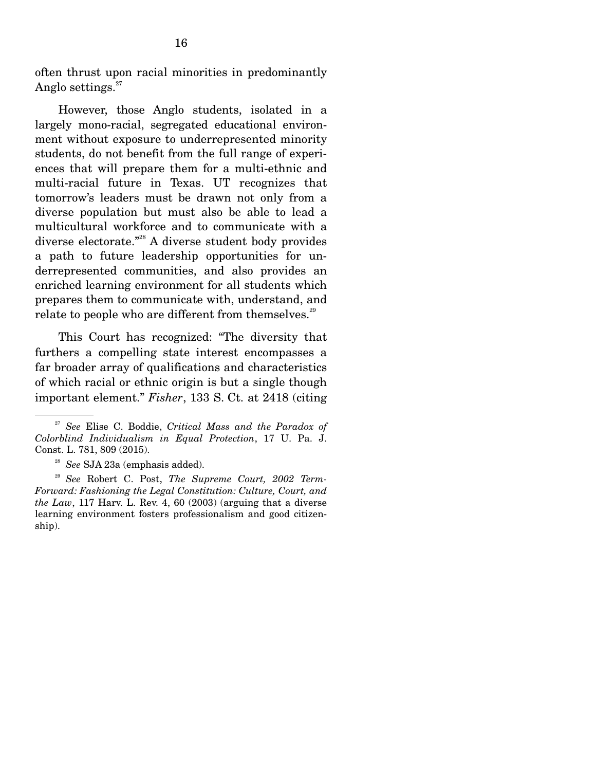often thrust upon racial minorities in predominantly Anglo settings.<sup>27</sup>

 However, those Anglo students, isolated in a largely mono-racial, segregated educational environment without exposure to underrepresented minority students, do not benefit from the full range of experiences that will prepare them for a multi-ethnic and multi-racial future in Texas. UT recognizes that tomorrow's leaders must be drawn not only from a diverse population but must also be able to lead a multicultural workforce and to communicate with a diverse electorate."28 A diverse student body provides a path to future leadership opportunities for underrepresented communities, and also provides an enriched learning environment for all students which prepares them to communicate with, understand, and relate to people who are different from themselves.<sup>29</sup>

 This Court has recognized: "The diversity that furthers a compelling state interest encompasses a far broader array of qualifications and characteristics of which racial or ethnic origin is but a single though important element." *Fisher*, 133 S. Ct. at 2418 (citing

<sup>27</sup> *See* Elise C. Boddie, *Critical Mass and the Paradox of Colorblind Individualism in Equal Protection*, 17 U. Pa. J. Const. L. 781, 809 (2015).

<sup>28</sup> *See* SJA 23a (emphasis added).

<sup>29</sup> *See* Robert C. Post, *The Supreme Court, 2002 Term-Forward: Fashioning the Legal Constitution: Culture, Court, and the Law*, 117 Harv. L. Rev. 4, 60 (2003) (arguing that a diverse learning environment fosters professionalism and good citizenship).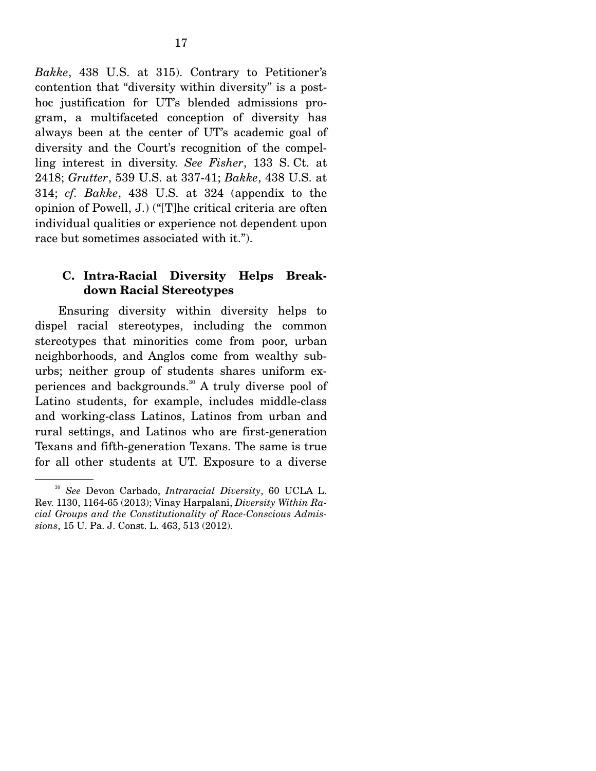*Bakke*, 438 U.S. at 315). Contrary to Petitioner's contention that "diversity within diversity" is a posthoc justification for UT's blended admissions program, a multifaceted conception of diversity has always been at the center of UT's academic goal of diversity and the Court's recognition of the compelling interest in diversity. *See Fisher*, 133 S. Ct. at 2418; *Grutter*, 539 U.S. at 337-41; *Bakke*, 438 U.S. at 314; *cf. Bakke*, 438 U.S. at 324 (appendix to the opinion of Powell, J.) ("[T]he critical criteria are often individual qualities or experience not dependent upon race but sometimes associated with it.").

### **C. Intra-Racial Diversity Helps Breakdown Racial Stereotypes**

 Ensuring diversity within diversity helps to dispel racial stereotypes, including the common stereotypes that minorities come from poor, urban neighborhoods, and Anglos come from wealthy suburbs; neither group of students shares uniform experiences and backgrounds.30 A truly diverse pool of Latino students, for example, includes middle-class and working-class Latinos, Latinos from urban and rural settings, and Latinos who are first-generation Texans and fifth-generation Texans. The same is true for all other students at UT. Exposure to a diverse

<sup>30</sup> *See* Devon Carbado, *Intraracial Diversity*, 60 UCLA L. Rev. 1130, 1164-65 (2013); Vinay Harpalani, *Diversity Within Racial Groups and the Constitutionality of Race-Conscious Admissions*, 15 U. Pa. J. Const. L. 463, 513 (2012).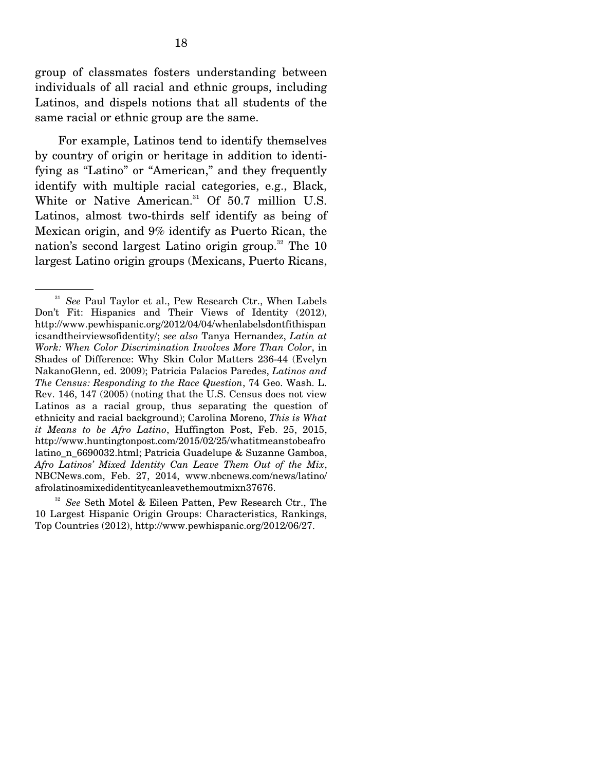group of classmates fosters understanding between individuals of all racial and ethnic groups, including Latinos, and dispels notions that all students of the same racial or ethnic group are the same.

 For example, Latinos tend to identify themselves by country of origin or heritage in addition to identifying as "Latino" or "American," and they frequently identify with multiple racial categories, e.g., Black, White or Native American.<sup>31</sup> Of 50.7 million U.S. Latinos, almost two-thirds self identify as being of Mexican origin, and 9% identify as Puerto Rican, the nation's second largest Latino origin group.<sup>32</sup> The 10 largest Latino origin groups (Mexicans, Puerto Ricans,

<sup>&</sup>lt;sup>31</sup> See Paul Taylor et al., Pew Research Ctr., When Labels Don't Fit: Hispanics and Their Views of Identity (2012), http://www.pewhispanic.org/2012/04/04/whenlabelsdontfithispan icsandtheirviewsofidentity/; *see also* Tanya Hernandez, *Latin at Work: When Color Discrimination Involves More Than Color*, in Shades of Difference: Why Skin Color Matters 236-44 (Evelyn NakanoGlenn, ed. 2009); Patricia Palacios Paredes, *Latinos and The Census: Responding to the Race Question*, 74 Geo. Wash. L. Rev. 146, 147 (2005) (noting that the U.S. Census does not view Latinos as a racial group, thus separating the question of ethnicity and racial background); Carolina Moreno, *This is What it Means to be Afro Latino*, Huffington Post, Feb. 25, 2015, http://www.huntingtonpost.com/2015/02/25/whatitmeanstobeafro latino\_n\_6690032.html; Patricia Guadelupe & Suzanne Gamboa, *Afro Latinos' Mixed Identity Can Leave Them Out of the Mix*, NBCNews.com, Feb. 27, 2014, www.nbcnews.com/news/latino/ afrolatinosmixedidentitycanleavethemoutmixn37676.

<sup>32</sup> *See* Seth Motel & Eileen Patten, Pew Research Ctr., The 10 Largest Hispanic Origin Groups: Characteristics, Rankings, Top Countries (2012), http://www.pewhispanic.org/2012/06/27.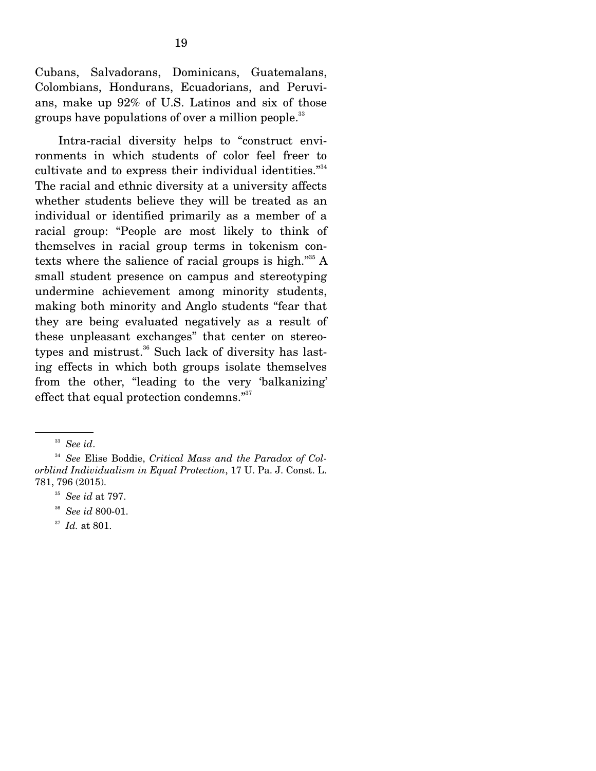Cubans, Salvadorans, Dominicans, Guatemalans, Colombians, Hondurans, Ecuadorians, and Peruvians, make up 92% of U.S. Latinos and six of those groups have populations of over a million people.<sup>33</sup>

 Intra-racial diversity helps to "construct environments in which students of color feel freer to cultivate and to express their individual identities."<sup>34</sup> The racial and ethnic diversity at a university affects whether students believe they will be treated as an individual or identified primarily as a member of a racial group: "People are most likely to think of themselves in racial group terms in tokenism contexts where the salience of racial groups is high. $35^{\circ}$  A small student presence on campus and stereotyping undermine achievement among minority students, making both minority and Anglo students "fear that they are being evaluated negatively as a result of these unpleasant exchanges" that center on stereotypes and mistrust.<sup>36</sup> Such lack of diversity has lasting effects in which both groups isolate themselves from the other, "leading to the very 'balkanizing' effect that equal protection condemns."<sup>37</sup>

<sup>33</sup> *See id*.

<sup>34</sup> *See* Elise Boddie, *Critical Mass and the Paradox of Colorblind Individualism in Equal Protection*, 17 U. Pa. J. Const. L. 781, 796 (2015).

<sup>35</sup> *See id* at 797.

<sup>36</sup> *See id* 800-01. 37 *Id.* at 801.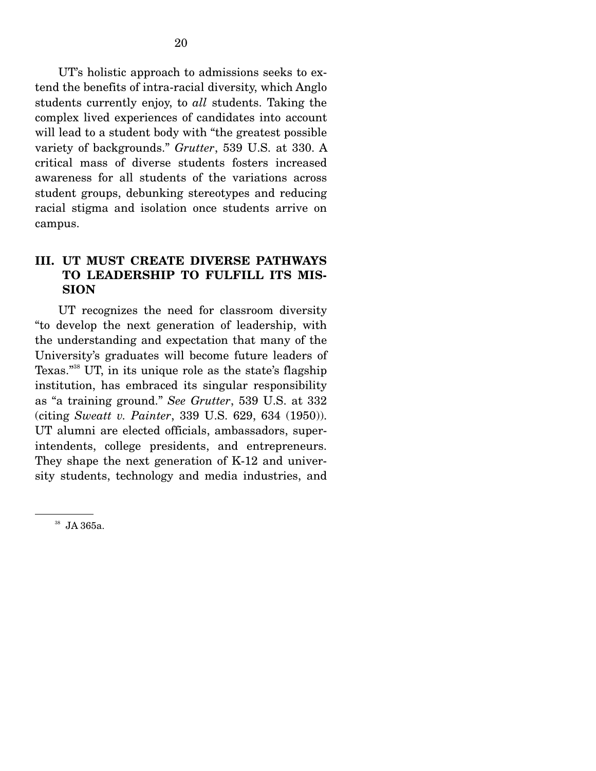UT's holistic approach to admissions seeks to extend the benefits of intra-racial diversity, which Anglo students currently enjoy, to *all* students. Taking the complex lived experiences of candidates into account will lead to a student body with "the greatest possible variety of backgrounds." *Grutter*, 539 U.S. at 330. A critical mass of diverse students fosters increased awareness for all students of the variations across student groups, debunking stereotypes and reducing racial stigma and isolation once students arrive on campus.

### **III. UT MUST CREATE DIVERSE PATHWAYS TO LEADERSHIP TO FULFILL ITS MIS-SION**

 UT recognizes the need for classroom diversity "to develop the next generation of leadership, with the understanding and expectation that many of the University's graduates will become future leaders of Texas."38 UT, in its unique role as the state's flagship institution, has embraced its singular responsibility as "a training ground." *See Grutter*, 539 U.S. at 332 (citing *Sweatt v. Painter*, 339 U.S. 629, 634 (1950)). UT alumni are elected officials, ambassadors, superintendents, college presidents, and entrepreneurs. They shape the next generation of K-12 and university students, technology and media industries, and

<sup>38</sup> JA 365a.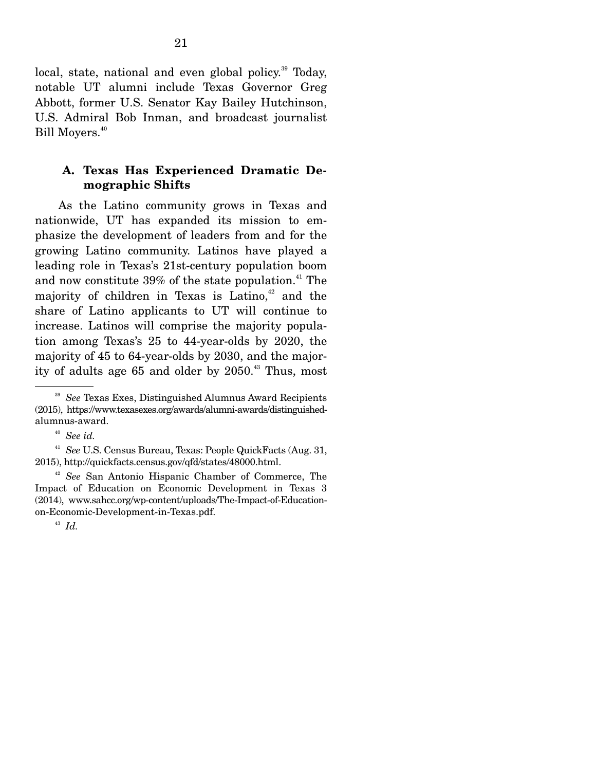local, state, national and even global policy.<sup>39</sup> Today, notable UT alumni include Texas Governor Greg Abbott, former U.S. Senator Kay Bailey Hutchinson, U.S. Admiral Bob Inman, and broadcast journalist Bill Moyers.<sup>40</sup>

### **A. Texas Has Experienced Dramatic Demographic Shifts**

 As the Latino community grows in Texas and nationwide, UT has expanded its mission to emphasize the development of leaders from and for the growing Latino community. Latinos have played a leading role in Texas's 21st-century population boom and now constitute  $39\%$  of the state population.<sup>41</sup> The majority of children in Texas is Latino, $42$  and the share of Latino applicants to UT will continue to increase. Latinos will comprise the majority population among Texas's 25 to 44-year-olds by 2020, the majority of 45 to 64-year-olds by 2030, and the majority of adults age  $65$  and older by  $2050.^{43}$  Thus, most

<sup>39</sup> *See* Texas Exes, Distinguished Alumnus Award Recipients (2015), https://www.texasexes.org/awards/alumni-awards/distinguishedalumnus-award.

<sup>40</sup> *See id.*

<sup>41</sup> *See* U.S. Census Bureau, Texas: People QuickFacts (Aug. 31, 2015), http://quickfacts.census.gov/qfd/states/48000.html.

<sup>42</sup> *See* San Antonio Hispanic Chamber of Commerce, The Impact of Education on Economic Development in Texas 3 (2014), www.sahcc.org/wp-content/uploads/The-Impact-of-Educationon-Economic-Development-in-Texas.pdf.

<sup>43</sup> *Id.*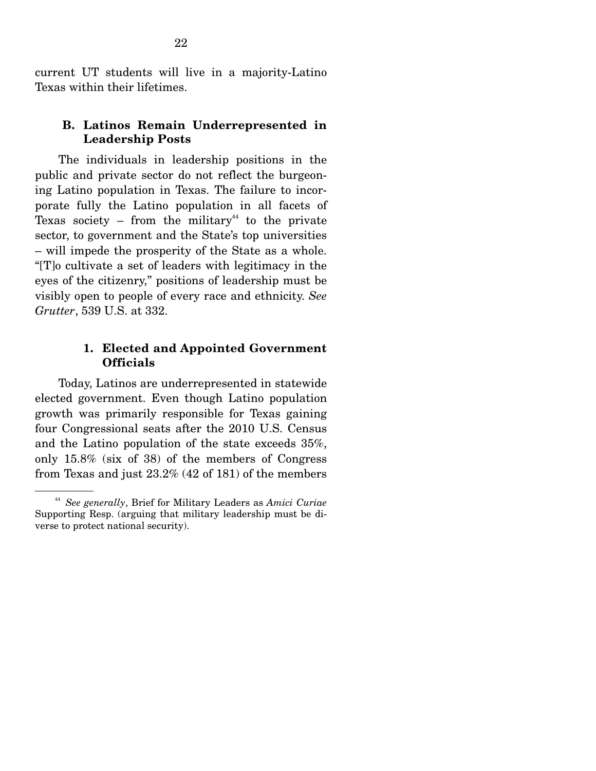current UT students will live in a majority-Latino Texas within their lifetimes.

#### **B. Latinos Remain Underrepresented in Leadership Posts**

 The individuals in leadership positions in the public and private sector do not reflect the burgeoning Latino population in Texas. The failure to incorporate fully the Latino population in all facets of Texas society – from the military<sup>44</sup> to the private sector, to government and the State's top universities – will impede the prosperity of the State as a whole. "[T]o cultivate a set of leaders with legitimacy in the eyes of the citizenry," positions of leadership must be visibly open to people of every race and ethnicity. *See Grutter*, 539 U.S. at 332.

#### **1. Elected and Appointed Government Officials**

 Today, Latinos are underrepresented in statewide elected government. Even though Latino population growth was primarily responsible for Texas gaining four Congressional seats after the 2010 U.S. Census and the Latino population of the state exceeds 35%, only 15.8% (six of 38) of the members of Congress from Texas and just 23.2% (42 of 181) of the members

<sup>44</sup> *See generally*, Brief for Military Leaders as *Amici Curiae*  Supporting Resp. (arguing that military leadership must be diverse to protect national security).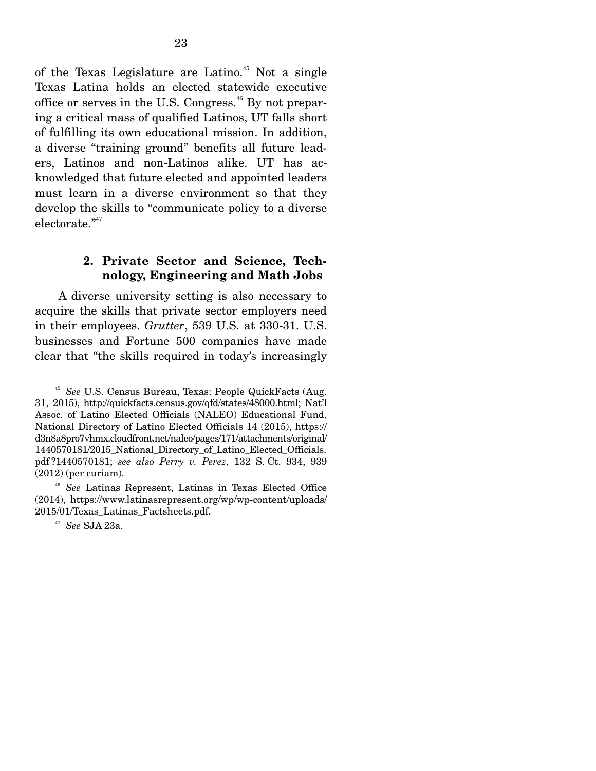of the Texas Legislature are Latino.<sup>45</sup> Not a single Texas Latina holds an elected statewide executive office or serves in the U.S. Congress.<sup>46</sup> By not preparing a critical mass of qualified Latinos, UT falls short of fulfilling its own educational mission. In addition, a diverse "training ground" benefits all future leaders, Latinos and non-Latinos alike. UT has acknowledged that future elected and appointed leaders must learn in a diverse environment so that they develop the skills to "communicate policy to a diverse electorate."<sup>47</sup>

### **2. Private Sector and Science, Technology, Engineering and Math Jobs**

 A diverse university setting is also necessary to acquire the skills that private sector employers need in their employees. *Grutter*, 539 U.S. at 330-31. U.S. businesses and Fortune 500 companies have made clear that "the skills required in today's increasingly

<sup>45</sup> *See* U.S. Census Bureau, Texas: People QuickFacts (Aug. 31, 2015), http://quickfacts.census.gov/qfd/states/48000.html; Nat'l Assoc. of Latino Elected Officials (NALEO) Educational Fund, National Directory of Latino Elected Officials 14 (2015), https:// d3n8a8pro7vhmx.cloudfront.net/naleo/pages/171/attachments/original/ 1440570181/2015\_National\_Directory\_of\_Latino\_Elected\_Officials. pdf ?1440570181; *see also Perry v. Perez*, 132 S. Ct. 934, 939 (2012) (per curiam).

<sup>46</sup> *See* Latinas Represent, Latinas in Texas Elected Office (2014), https://www.latinasrepresent.org/wp/wp-content/uploads/ 2015/01/Texas\_Latinas\_Factsheets.pdf.

<sup>47</sup> *See* SJA 23a.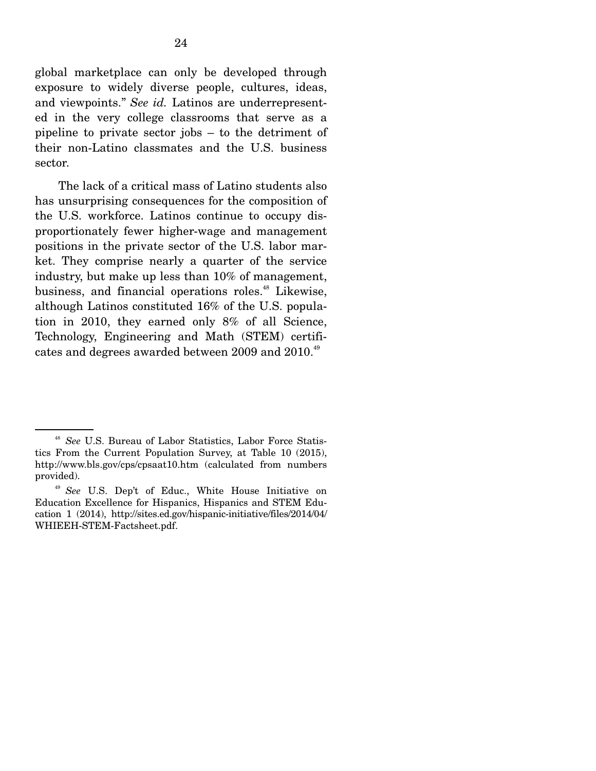global marketplace can only be developed through exposure to widely diverse people, cultures, ideas, and viewpoints." *See id.* Latinos are underrepresented in the very college classrooms that serve as a pipeline to private sector jobs – to the detriment of their non-Latino classmates and the U.S. business sector.

 The lack of a critical mass of Latino students also has unsurprising consequences for the composition of the U.S. workforce. Latinos continue to occupy disproportionately fewer higher-wage and management positions in the private sector of the U.S. labor market. They comprise nearly a quarter of the service industry, but make up less than 10% of management, business, and financial operations roles.<sup>48</sup> Likewise, although Latinos constituted 16% of the U.S. population in 2010, they earned only 8% of all Science, Technology, Engineering and Math (STEM) certificates and degrees awarded between 2009 and 2010. $^{49}$ 

<sup>48</sup> *See* U.S. Bureau of Labor Statistics, Labor Force Statistics From the Current Population Survey, at Table 10 (2015), http://www.bls.gov/cps/cpsaat10.htm (calculated from numbers provided).

<sup>49</sup> *See* U.S. Dep't of Educ., White House Initiative on Education Excellence for Hispanics, Hispanics and STEM Education 1 (2014), http://sites.ed.gov/hispanic-initiative/files/2014/04/ WHIEEH-STEM-Factsheet.pdf.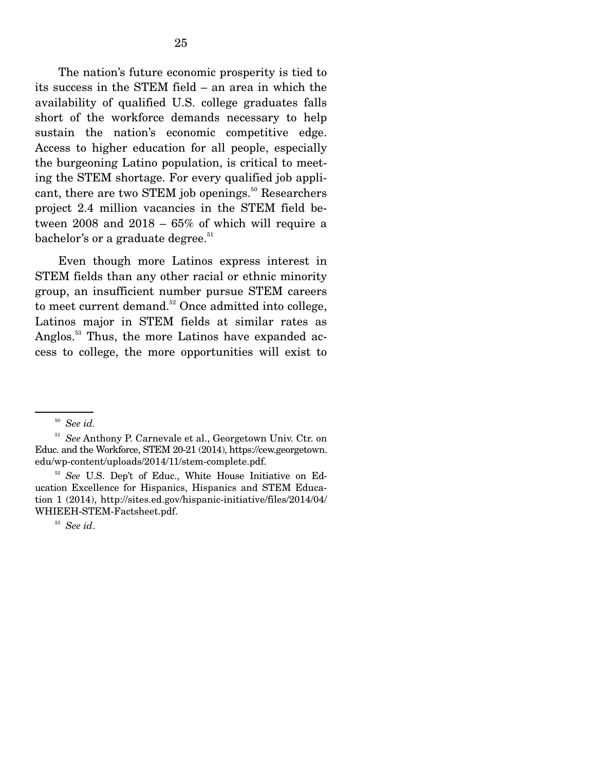The nation's future economic prosperity is tied to its success in the STEM field – an area in which the availability of qualified U.S. college graduates falls short of the workforce demands necessary to help sustain the nation's economic competitive edge. Access to higher education for all people, especially the burgeoning Latino population, is critical to meeting the STEM shortage. For every qualified job applicant, there are two STEM job openings.<sup>50</sup> Researchers project 2.4 million vacancies in the STEM field between 2008 and 2018 – 65% of which will require a bachelor's or a graduate degree. $51$ 

 Even though more Latinos express interest in STEM fields than any other racial or ethnic minority group, an insufficient number pursue STEM careers to meet current demand.<sup>52</sup> Once admitted into college, Latinos major in STEM fields at similar rates as Anglos.<sup>53</sup> Thus, the more Latinos have expanded access to college, the more opportunities will exist to

<sup>50</sup> *See id.*

<sup>&</sup>lt;sup>51</sup> See Anthony P. Carnevale et al., Georgetown Univ. Ctr. on Educ. and the Workforce, STEM 20-21 (2014), https://cew.georgetown. edu/wp-content/uploads/2014/11/stem-complete.pdf.

<sup>52</sup> *See* U.S. Dep't of Educ., White House Initiative on Education Excellence for Hispanics, Hispanics and STEM Education 1 (2014), http://sites.ed.gov/hispanic-initiative/files/2014/04/ WHIEEH-STEM-Factsheet.pdf.

<sup>53</sup> *See id*.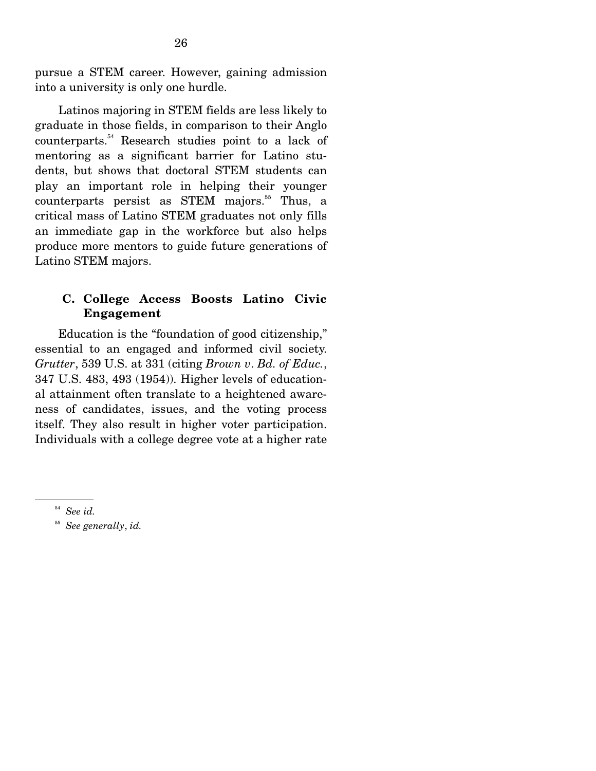pursue a STEM career. However, gaining admission into a university is only one hurdle.

 Latinos majoring in STEM fields are less likely to graduate in those fields, in comparison to their Anglo counterparts.54 Research studies point to a lack of mentoring as a significant barrier for Latino students, but shows that doctoral STEM students can play an important role in helping their younger counterparts persist as STEM majors. $55$  Thus, a critical mass of Latino STEM graduates not only fills an immediate gap in the workforce but also helps produce more mentors to guide future generations of Latino STEM majors.

### **C. College Access Boosts Latino Civic Engagement**

 Education is the "foundation of good citizenship," essential to an engaged and informed civil society. *Grutter*, 539 U.S. at 331 (citing *Brown v*. *Bd. of Educ.*, 347 U.S. 483, 493 (1954)). Higher levels of educational attainment often translate to a heightened awareness of candidates, issues, and the voting process itself. They also result in higher voter participation. Individuals with a college degree vote at a higher rate

<sup>54</sup> *See id.*

<sup>55</sup> *See generally*, *id.*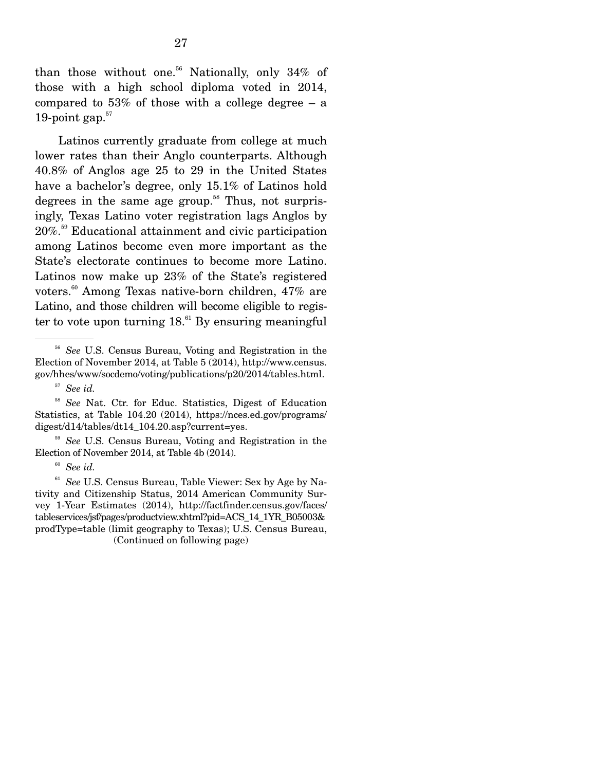than those without one.<sup>56</sup> Nationally, only  $34\%$  of those with a high school diploma voted in 2014, compared to 53% of those with a college degree  $-$  a 19-point gap. $57$ 

 Latinos currently graduate from college at much lower rates than their Anglo counterparts. Although 40.8% of Anglos age 25 to 29 in the United States have a bachelor's degree, only 15.1% of Latinos hold degrees in the same age group.<sup>58</sup> Thus, not surprisingly, Texas Latino voter registration lags Anglos by 20%.59 Educational attainment and civic participation among Latinos become even more important as the State's electorate continues to become more Latino. Latinos now make up 23% of the State's registered voters.<sup>60</sup> Among Texas native-born children, 47% are Latino, and those children will become eligible to register to vote upon turning  $18<sup>61</sup>$  By ensuring meaningful

<sup>58</sup> *See* Nat. Ctr. for Educ. Statistics, Digest of Education Statistics, at Table 104.20 (2014), https://nces.ed.gov/programs/ digest/d14/tables/dt14\_104.20.asp?current=yes.

<sup>59</sup> *See* U.S. Census Bureau, Voting and Registration in the Election of November 2014, at Table 4b (2014).

<sup>60</sup> *See id.* 61 *See* U.S. Census Bureau, Table Viewer: Sex by Age by Nativity and Citizenship Status, 2014 American Community Survey 1-Year Estimates (2014), http://factfinder.census.gov/faces/ tableservices/jsf/pages/productview.xhtml?pid=ACS\_14\_1YR\_B05003& prodType=table (limit geography to Texas); U.S. Census Bureau,

(Continued on following page)

<sup>56</sup> *See* U.S. Census Bureau, Voting and Registration in the Election of November 2014, at Table 5 (2014), http://www.census. gov/hhes/www/socdemo/voting/publications/p20/2014/tables.html.

<sup>57</sup> *See id.*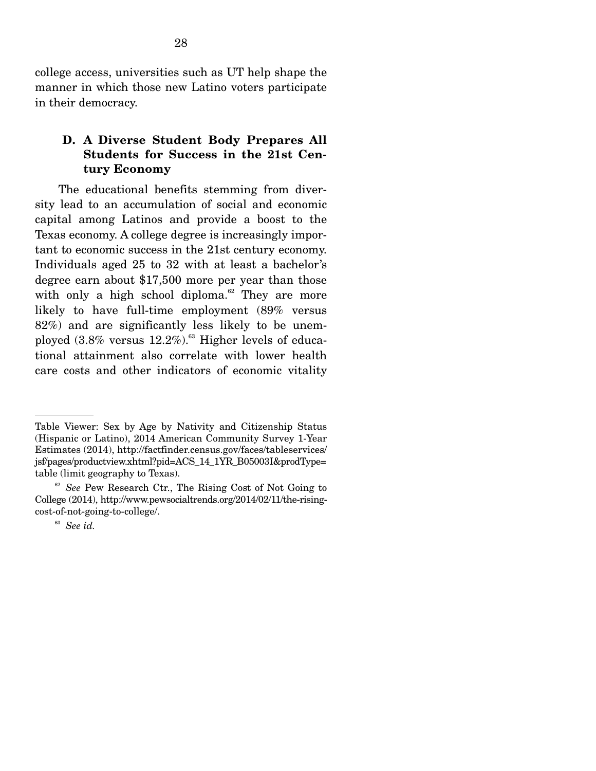college access, universities such as UT help shape the manner in which those new Latino voters participate in their democracy.

## **D. A Diverse Student Body Prepares All Students for Success in the 21st Century Economy**

 The educational benefits stemming from diversity lead to an accumulation of social and economic capital among Latinos and provide a boost to the Texas economy. A college degree is increasingly important to economic success in the 21st century economy. Individuals aged 25 to 32 with at least a bachelor's degree earn about \$17,500 more per year than those with only a high school diploma. $62$  They are more likely to have full-time employment (89% versus 82%) and are significantly less likely to be unemployed  $(3.8\%$  versus  $12.2\%)$ .<sup>63</sup> Higher levels of educational attainment also correlate with lower health care costs and other indicators of economic vitality

Table Viewer: Sex by Age by Nativity and Citizenship Status (Hispanic or Latino), 2014 American Community Survey 1-Year Estimates (2014), http://factfinder.census.gov/faces/tableservices/ jsf/pages/productview.xhtml?pid=ACS\_14\_1YR\_B05003I&prodType= table (limit geography to Texas).

<sup>62</sup> *See* Pew Research Ctr., The Rising Cost of Not Going to College (2014), http://www.pewsocialtrends.org/2014/02/11/the-risingcost-of-not-going-to-college/.

<sup>63</sup> *See id.*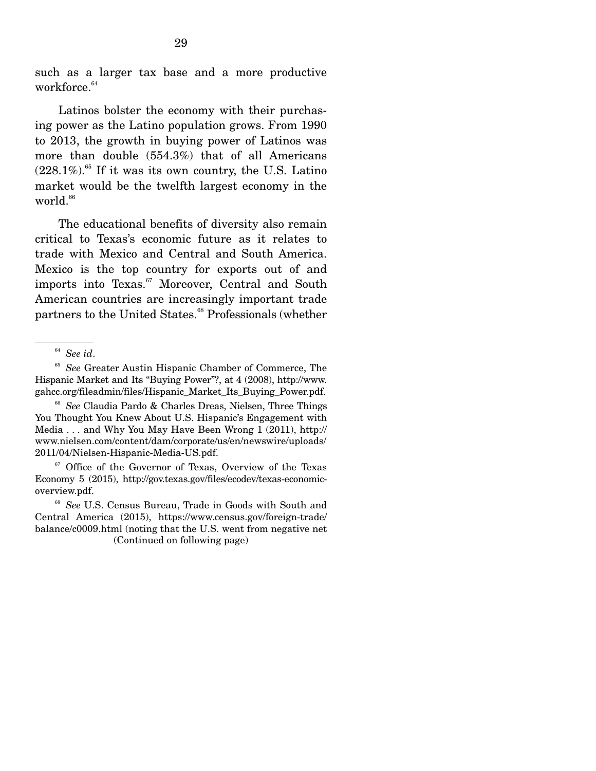such as a larger tax base and a more productive workforce.<sup>64</sup>

 Latinos bolster the economy with their purchasing power as the Latino population grows. From 1990 to 2013, the growth in buying power of Latinos was more than double (554.3%) that of all Americans  $(228.1\%)$ <sup>65</sup> If it was its own country, the U.S. Latino market would be the twelfth largest economy in the world.<sup>66</sup>

 The educational benefits of diversity also remain critical to Texas's economic future as it relates to trade with Mexico and Central and South America. Mexico is the top country for exports out of and imports into Texas.<sup>67</sup> Moreover, Central and South American countries are increasingly important trade partners to the United States.<sup>68</sup> Professionals (whether

<sup>66</sup> *See* Claudia Pardo & Charles Dreas, Nielsen, Three Things You Thought You Knew About U.S. Hispanic's Engagement with Media . . . and Why You May Have Been Wrong 1 (2011), http:// www.nielsen.com/content/dam/corporate/us/en/newswire/uploads/ 2011/04/Nielsen-Hispanic-Media-US.pdf.

 $67$  Office of the Governor of Texas, Overview of the Texas Economy 5 (2015), http://gov.texas.gov/files/ecodev/texas-economicoverview.pdf.

<sup>68</sup> *See* U.S. Census Bureau, Trade in Goods with South and Central America (2015), https://www.census.gov/foreign-trade/ balance/c0009.html (noting that the U.S. went from negative net (Continued on following page)

<sup>64</sup> *See id*.

<sup>65</sup> *See* Greater Austin Hispanic Chamber of Commerce, The Hispanic Market and Its "Buying Power"?, at 4 (2008), http://www. gahcc.org/fileadmin/files/Hispanic\_Market\_Its\_Buying\_Power.pdf.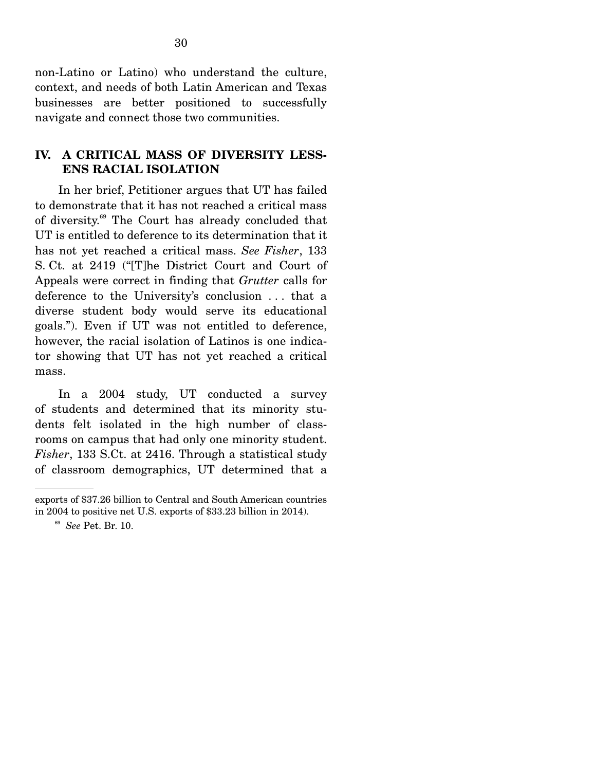non-Latino or Latino) who understand the culture, context, and needs of both Latin American and Texas businesses are better positioned to successfully navigate and connect those two communities.

### **IV. A CRITICAL MASS OF DIVERSITY LESS-ENS RACIAL ISOLATION**

 In her brief, Petitioner argues that UT has failed to demonstrate that it has not reached a critical mass of diversity.69 The Court has already concluded that UT is entitled to deference to its determination that it has not yet reached a critical mass. *See Fisher*, 133 S. Ct. at 2419 ("[T]he District Court and Court of Appeals were correct in finding that *Grutter* calls for deference to the University's conclusion . . . that a diverse student body would serve its educational goals."). Even if UT was not entitled to deference, however, the racial isolation of Latinos is one indicator showing that UT has not yet reached a critical mass.

 In a 2004 study, UT conducted a survey of students and determined that its minority students felt isolated in the high number of classrooms on campus that had only one minority student. *Fisher*, 133 S.Ct. at 2416. Through a statistical study of classroom demographics, UT determined that a

exports of \$37.26 billion to Central and South American countries in 2004 to positive net U.S. exports of \$33.23 billion in 2014).

<sup>69</sup> *See* Pet. Br. 10.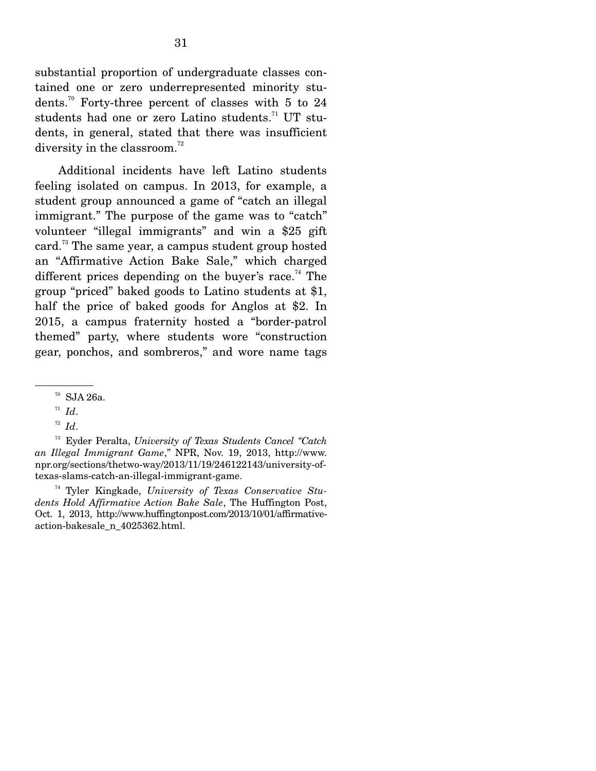substantial proportion of undergraduate classes contained one or zero underrepresented minority students.<sup>70</sup> Forty-three percent of classes with  $5$  to  $24$ students had one or zero Latino students.<sup>71</sup> UT students, in general, stated that there was insufficient diversity in the classroom. $^{72}$ 

 Additional incidents have left Latino students feeling isolated on campus. In 2013, for example, a student group announced a game of "catch an illegal immigrant." The purpose of the game was to "catch" volunteer "illegal immigrants" and win a \$25 gift card.73 The same year, a campus student group hosted an "Affirmative Action Bake Sale," which charged different prices depending on the buyer's race.<sup>74</sup> The group "priced" baked goods to Latino students at \$1, half the price of baked goods for Anglos at \$2. In 2015, a campus fraternity hosted a "border-patrol themed" party, where students wore "construction gear, ponchos, and sombreros," and wore name tags

74 Tyler Kingkade, *University of Texas Conservative Students Hold Affirmative Action Bake Sale*, The Huffington Post, Oct. 1, 2013, http://www.huffingtonpost.com/2013/10/01/affirmativeaction-bakesale\_n\_4025362.html.

 $^{70}\,$  SJA 26a.

 $I^1$  *Id.* 

 $72$  *Id.* 

<sup>73</sup> Eyder Peralta, *University of Texas Students Cancel "Catch an Illegal Immigrant Game*," NPR, Nov. 19, 2013, http://www. npr.org/sections/thetwo-way/2013/11/19/246122143/university-oftexas-slams-catch-an-illegal-immigrant-game.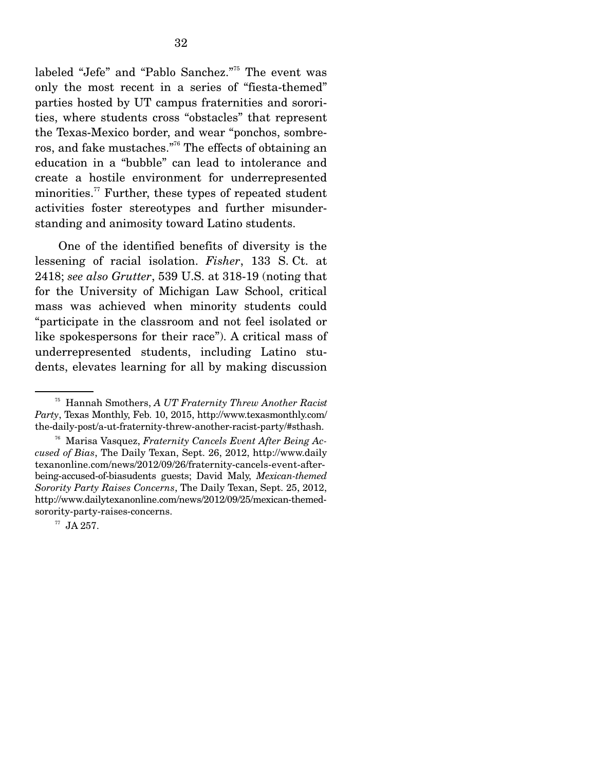labeled "Jefe" and "Pablo Sanchez."75 The event was only the most recent in a series of "fiesta-themed" parties hosted by UT campus fraternities and sororities, where students cross "obstacles" that represent the Texas-Mexico border, and wear "ponchos, sombreros, and fake mustaches."76 The effects of obtaining an education in a "bubble" can lead to intolerance and create a hostile environment for underrepresented minorities. $77$  Further, these types of repeated student activities foster stereotypes and further misunderstanding and animosity toward Latino students.

 One of the identified benefits of diversity is the lessening of racial isolation. *Fisher*, 133 S. Ct. at 2418; *see also Grutter*, 539 U.S. at 318-19 (noting that for the University of Michigan Law School, critical mass was achieved when minority students could "participate in the classroom and not feel isolated or like spokespersons for their race"). A critical mass of underrepresented students, including Latino students, elevates learning for all by making discussion

<sup>75</sup> Hannah Smothers, *A UT Fraternity Threw Another Racist Party*, Texas Monthly, Feb. 10, 2015, http://www.texasmonthly.com/ the-daily-post/a-ut-fraternity-threw-another-racist-party/#sthash.

<sup>76</sup> Marisa Vasquez, *Fraternity Cancels Event After Being Accused of Bias*, The Daily Texan, Sept. 26, 2012, http://www.daily texanonline.com/news/2012/09/26/fraternity-cancels-event-afterbeing-accused-of-biasudents guests; David Maly, *Mexican-themed Sorority Party Raises Concerns*, The Daily Texan, Sept. 25, 2012, http://www.dailytexanonline.com/news/2012/09/25/mexican-themedsorority-party-raises-concerns.

 $77$  JA 257.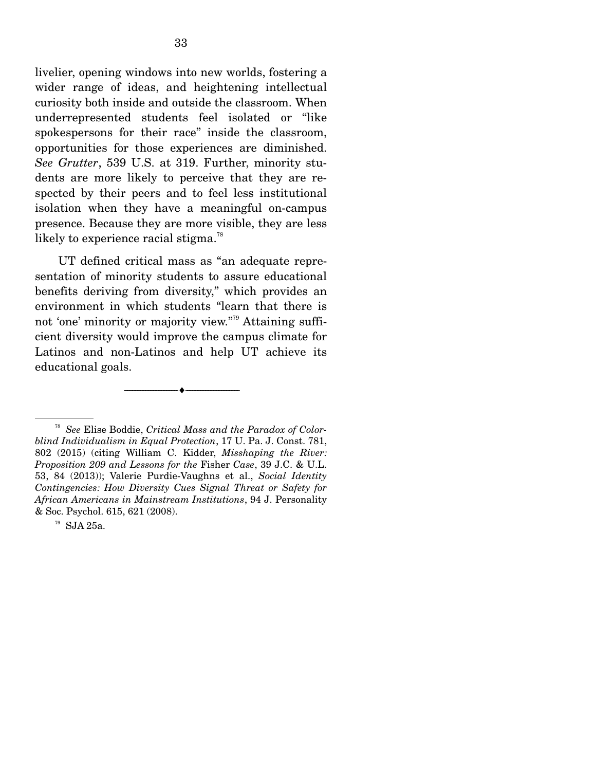livelier, opening windows into new worlds, fostering a wider range of ideas, and heightening intellectual curiosity both inside and outside the classroom. When underrepresented students feel isolated or "like spokespersons for their race" inside the classroom, opportunities for those experiences are diminished. *See Grutter*, 539 U.S. at 319. Further, minority students are more likely to perceive that they are respected by their peers and to feel less institutional isolation when they have a meaningful on-campus presence. Because they are more visible, they are less likely to experience racial stigma.<sup>78</sup>

 UT defined critical mass as "an adequate representation of minority students to assure educational benefits deriving from diversity," which provides an environment in which students "learn that there is not 'one' minority or majority view."79 Attaining sufficient diversity would improve the campus climate for Latinos and non-Latinos and help UT achieve its educational goals.

--------------------------------- ---------------------------------

<sup>78</sup> *See* Elise Boddie, *Critical Mass and the Paradox of Colorblind Individualism in Equal Protection*, 17 U. Pa. J. Const. 781, 802 (2015) (citing William C. Kidder, *Misshaping the River: Proposition 209 and Lessons for the* Fisher *Case*, 39 J.C. & U.L. 53, 84 (2013)); Valerie Purdie-Vaughns et al., *Social Identity Contingencies: How Diversity Cues Signal Threat or Safety for African Americans in Mainstream Institutions*, 94 J. Personality & Soc. Psychol. 615, 621 (2008).

<sup>79</sup> SJA 25a.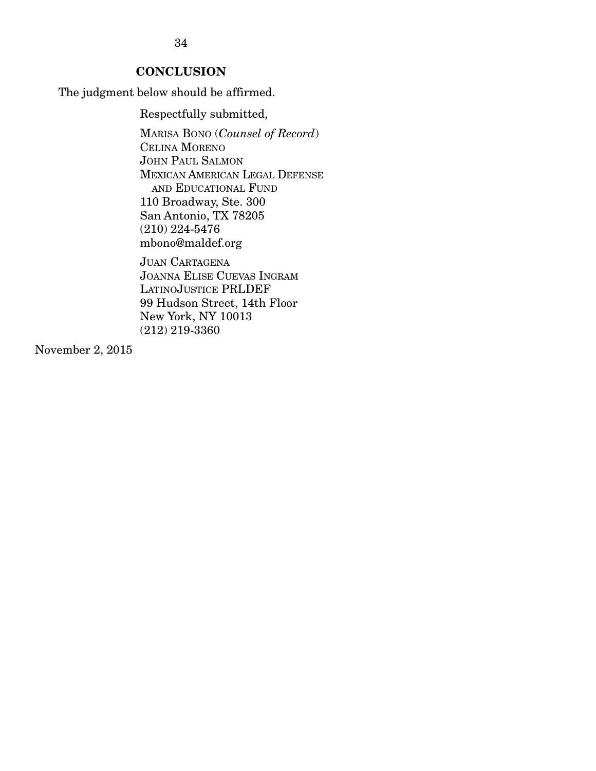34

# **CONCLUSION**

The judgment below should be affirmed.

Respectfully submitted,

MARISA BONO (*Counsel of Record*) CELINA MORENO JOHN PAUL SALMON MEXICAN AMERICAN LEGAL DEFENSE AND EDUCATIONAL FUND 110 Broadway, Ste. 300 San Antonio, TX 78205 (210) 224-5476 mbono@maldef.org

JUAN CARTAGENA JOANNA ELISE CUEVAS INGRAM LATINOJUSTICE PRLDEF 99 Hudson Street, 14th Floor New York, NY 10013 (212) 219-3360

November 2, 2015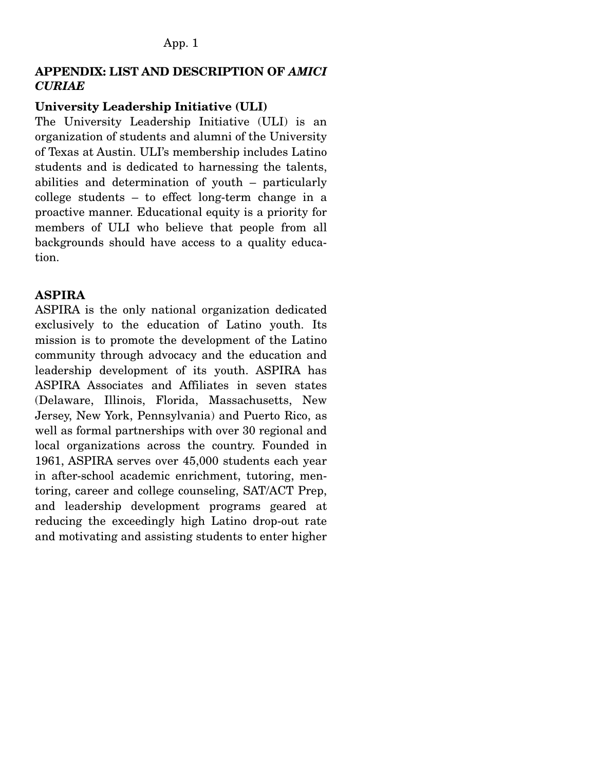### **APPENDIX: LIST AND DESCRIPTION OF** *AMICI CURIAE*

# **University Leadership Initiative (ULI)**

The University Leadership Initiative (ULI) is an organization of students and alumni of the University of Texas at Austin. ULI's membership includes Latino students and is dedicated to harnessing the talents, abilities and determination of youth – particularly college students – to effect long-term change in a proactive manner. Educational equity is a priority for members of ULI who believe that people from all backgrounds should have access to a quality education.

# **ASPIRA**

ASPIRA is the only national organization dedicated exclusively to the education of Latino youth. Its mission is to promote the development of the Latino community through advocacy and the education and leadership development of its youth. ASPIRA has ASPIRA Associates and Affiliates in seven states (Delaware, Illinois, Florida, Massachusetts, New Jersey, New York, Pennsylvania) and Puerto Rico, as well as formal partnerships with over 30 regional and local organizations across the country. Founded in 1961, ASPIRA serves over 45,000 students each year in after-school academic enrichment, tutoring, mentoring, career and college counseling, SAT/ACT Prep, and leadership development programs geared at reducing the exceedingly high Latino drop-out rate and motivating and assisting students to enter higher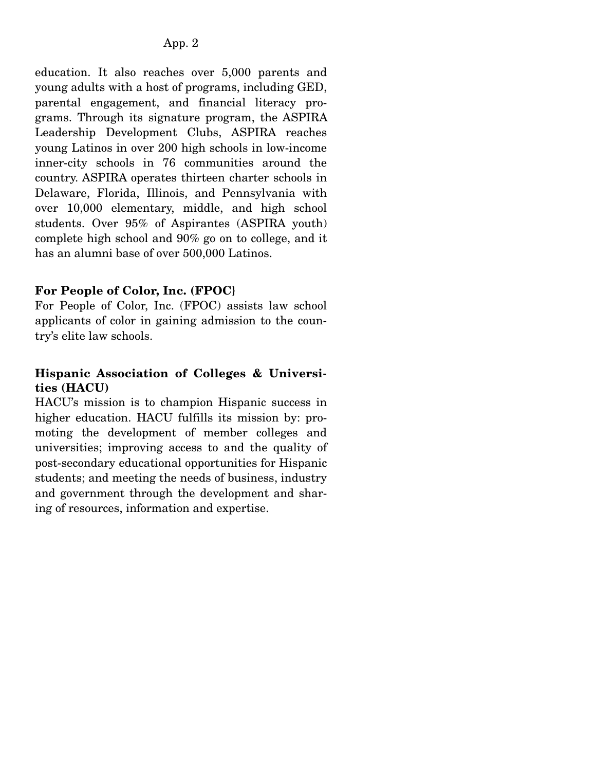education. It also reaches over 5,000 parents and young adults with a host of programs, including GED, parental engagement, and financial literacy programs. Through its signature program, the ASPIRA Leadership Development Clubs, ASPIRA reaches young Latinos in over 200 high schools in low-income inner-city schools in 76 communities around the country. ASPIRA operates thirteen charter schools in Delaware, Florida, Illinois, and Pennsylvania with over 10,000 elementary, middle, and high school students. Over 95% of Aspirantes (ASPIRA youth) complete high school and 90% go on to college, and it has an alumni base of over 500,000 Latinos.

# **For People of Color, Inc. (FPOC}**

For People of Color, Inc. (FPOC) assists law school applicants of color in gaining admission to the country's elite law schools.

# **Hispanic Association of Colleges & Universities (HACU)**

HACU's mission is to champion Hispanic success in higher education. HACU fulfills its mission by: promoting the development of member colleges and universities; improving access to and the quality of post-secondary educational opportunities for Hispanic students; and meeting the needs of business, industry and government through the development and sharing of resources, information and expertise.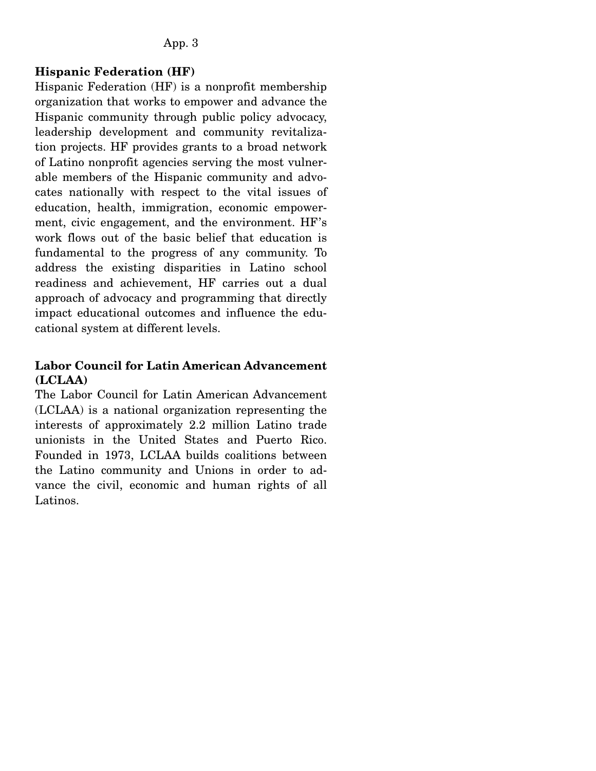### App. 3

#### **Hispanic Federation (HF)**

Hispanic Federation (HF) is a nonprofit membership organization that works to empower and advance the Hispanic community through public policy advocacy, leadership development and community revitalization projects. HF provides grants to a broad network of Latino nonprofit agencies serving the most vulnerable members of the Hispanic community and advocates nationally with respect to the vital issues of education, health, immigration, economic empowerment, civic engagement, and the environment. HF's work flows out of the basic belief that education is fundamental to the progress of any community. To address the existing disparities in Latino school readiness and achievement, HF carries out a dual approach of advocacy and programming that directly impact educational outcomes and influence the educational system at different levels.

# **Labor Council for Latin American Advancement (LCLAA)**

The Labor Council for Latin American Advancement (LCLAA) is a national organization representing the interests of approximately 2.2 million Latino trade unionists in the United States and Puerto Rico. Founded in 1973, LCLAA builds coalitions between the Latino community and Unions in order to advance the civil, economic and human rights of all Latinos.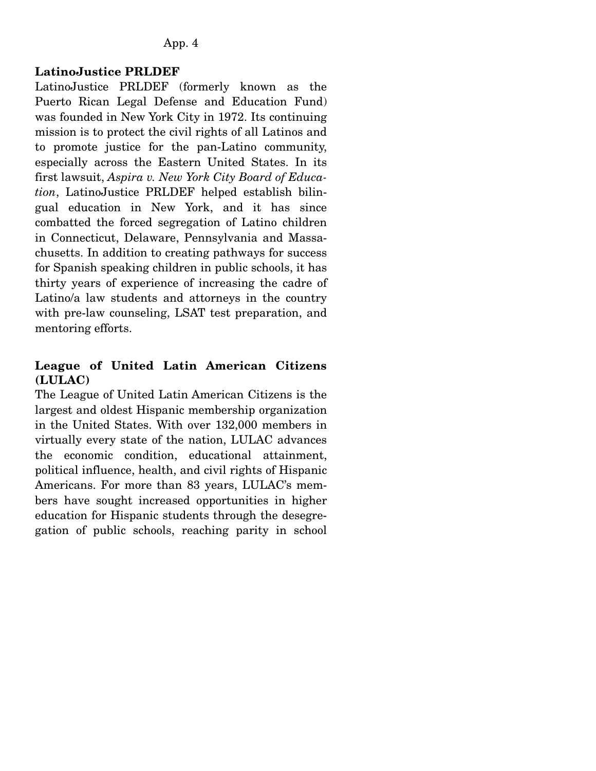### **LatinoJustice PRLDEF**

LatinoJustice PRLDEF (formerly known as the Puerto Rican Legal Defense and Education Fund) was founded in New York City in 1972. Its continuing mission is to protect the civil rights of all Latinos and to promote justice for the pan-Latino community, especially across the Eastern United States. In its first lawsuit, *Aspira v. New York City Board of Education*, LatinoJustice PRLDEF helped establish bilingual education in New York, and it has since combatted the forced segregation of Latino children in Connecticut, Delaware, Pennsylvania and Massachusetts. In addition to creating pathways for success for Spanish speaking children in public schools, it has thirty years of experience of increasing the cadre of Latino/a law students and attorneys in the country with pre-law counseling, LSAT test preparation, and mentoring efforts.

# **League of United Latin American Citizens (LULAC)**

The League of United Latin American Citizens is the largest and oldest Hispanic membership organization in the United States. With over 132,000 members in virtually every state of the nation, LULAC advances the economic condition, educational attainment, political influence, health, and civil rights of Hispanic Americans. For more than 83 years, LULAC's members have sought increased opportunities in higher education for Hispanic students through the desegregation of public schools, reaching parity in school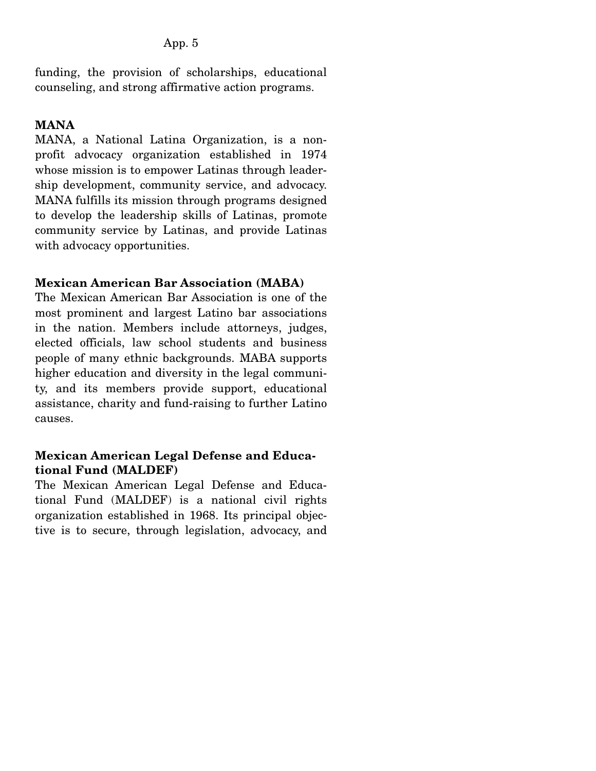funding, the provision of scholarships, educational counseling, and strong affirmative action programs.

# **MANA**

MANA, a National Latina Organization, is a nonprofit advocacy organization established in 1974 whose mission is to empower Latinas through leadership development, community service, and advocacy. MANA fulfills its mission through programs designed to develop the leadership skills of Latinas, promote community service by Latinas, and provide Latinas with advocacy opportunities.

### **Mexican American Bar Association (MABA)**

The Mexican American Bar Association is one of the most prominent and largest Latino bar associations in the nation. Members include attorneys, judges, elected officials, law school students and business people of many ethnic backgrounds. MABA supports higher education and diversity in the legal community, and its members provide support, educational assistance, charity and fund-raising to further Latino causes.

# **Mexican American Legal Defense and Educational Fund (MALDEF)**

The Mexican American Legal Defense and Educational Fund (MALDEF) is a national civil rights organization established in 1968. Its principal objective is to secure, through legislation, advocacy, and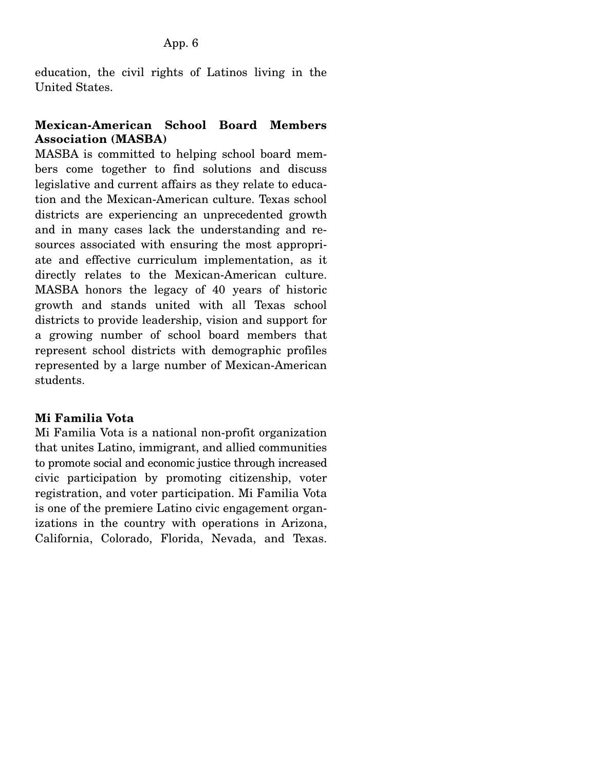education, the civil rights of Latinos living in the United States.

### **Mexican-American School Board Members Association (MASBA)**

MASBA is committed to helping school board members come together to find solutions and discuss legislative and current affairs as they relate to education and the Mexican-American culture. Texas school districts are experiencing an unprecedented growth and in many cases lack the understanding and resources associated with ensuring the most appropriate and effective curriculum implementation, as it directly relates to the Mexican-American culture. MASBA honors the legacy of 40 years of historic growth and stands united with all Texas school districts to provide leadership, vision and support for a growing number of school board members that represent school districts with demographic profiles represented by a large number of Mexican-American students.

# **Mi Familia Vota**

Mi Familia Vota is a national non-profit organization that unites Latino, immigrant, and allied communities to promote social and economic justice through increased civic participation by promoting citizenship, voter registration, and voter participation. Mi Familia Vota is one of the premiere Latino civic engagement organizations in the country with operations in Arizona, California, Colorado, Florida, Nevada, and Texas.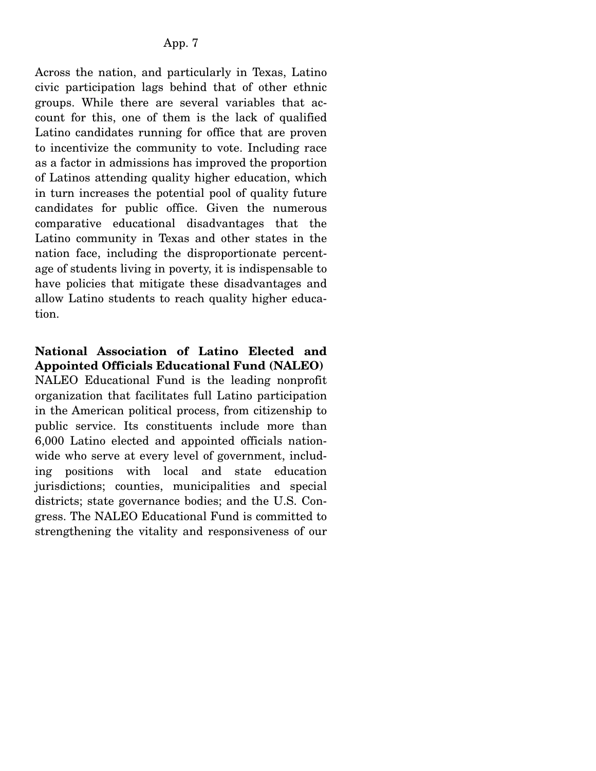Across the nation, and particularly in Texas, Latino civic participation lags behind that of other ethnic groups. While there are several variables that account for this, one of them is the lack of qualified Latino candidates running for office that are proven to incentivize the community to vote. Including race as a factor in admissions has improved the proportion of Latinos attending quality higher education, which in turn increases the potential pool of quality future candidates for public office. Given the numerous comparative educational disadvantages that the Latino community in Texas and other states in the nation face, including the disproportionate percentage of students living in poverty, it is indispensable to have policies that mitigate these disadvantages and allow Latino students to reach quality higher education.

# **National Association of Latino Elected and Appointed Officials Educational Fund (NALEO)**

NALEO Educational Fund is the leading nonprofit organization that facilitates full Latino participation in the American political process, from citizenship to public service. Its constituents include more than 6,000 Latino elected and appointed officials nationwide who serve at every level of government, including positions with local and state education jurisdictions; counties, municipalities and special districts; state governance bodies; and the U.S. Congress. The NALEO Educational Fund is committed to strengthening the vitality and responsiveness of our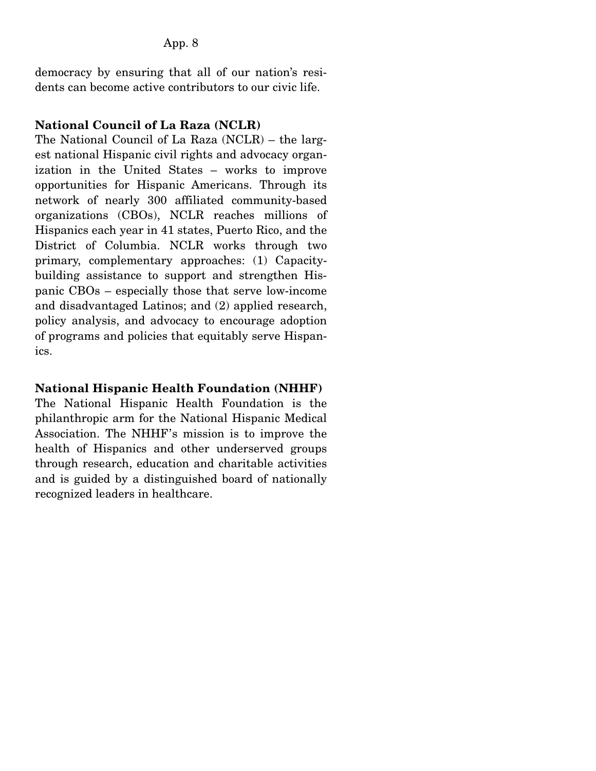democracy by ensuring that all of our nation's residents can become active contributors to our civic life.

# **National Council of La Raza (NCLR)**

The National Council of La Raza (NCLR) – the largest national Hispanic civil rights and advocacy organization in the United States – works to improve opportunities for Hispanic Americans. Through its network of nearly 300 affiliated community-based organizations (CBOs), NCLR reaches millions of Hispanics each year in 41 states, Puerto Rico, and the District of Columbia. NCLR works through two primary, complementary approaches: (1) Capacitybuilding assistance to support and strengthen Hispanic CBOs – especially those that serve low-income and disadvantaged Latinos; and (2) applied research, policy analysis, and advocacy to encourage adoption of programs and policies that equitably serve Hispanics.

# **National Hispanic Health Foundation (NHHF)**

The National Hispanic Health Foundation is the philanthropic arm for the National Hispanic Medical Association. The NHHF's mission is to improve the health of Hispanics and other underserved groups through research, education and charitable activities and is guided by a distinguished board of nationally recognized leaders in healthcare.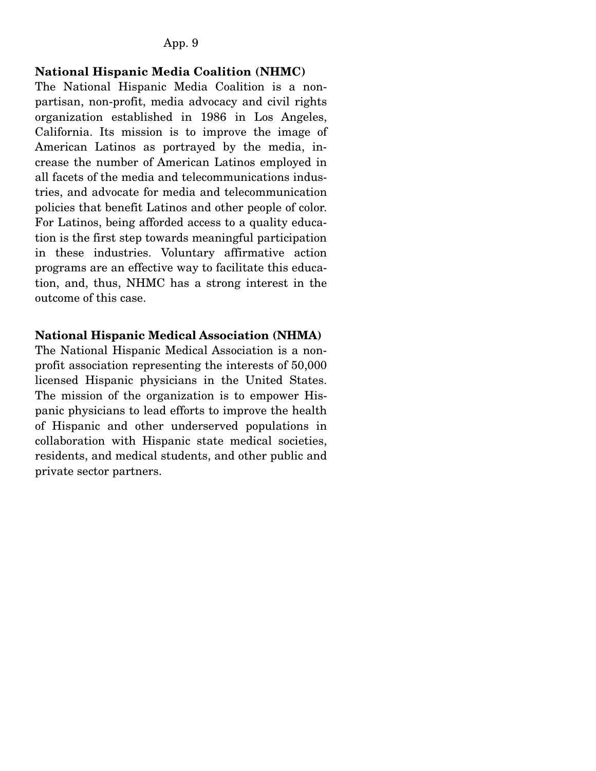## **National Hispanic Media Coalition (NHMC)**

The National Hispanic Media Coalition is a nonpartisan, non-profit, media advocacy and civil rights organization established in 1986 in Los Angeles, California. Its mission is to improve the image of American Latinos as portrayed by the media, increase the number of American Latinos employed in all facets of the media and telecommunications industries, and advocate for media and telecommunication policies that benefit Latinos and other people of color. For Latinos, being afforded access to a quality education is the first step towards meaningful participation in these industries. Voluntary affirmative action programs are an effective way to facilitate this education, and, thus, NHMC has a strong interest in the outcome of this case.

### **National Hispanic Medical Association (NHMA)**

The National Hispanic Medical Association is a nonprofit association representing the interests of 50,000 licensed Hispanic physicians in the United States. The mission of the organization is to empower Hispanic physicians to lead efforts to improve the health of Hispanic and other underserved populations in collaboration with Hispanic state medical societies, residents, and medical students, and other public and private sector partners.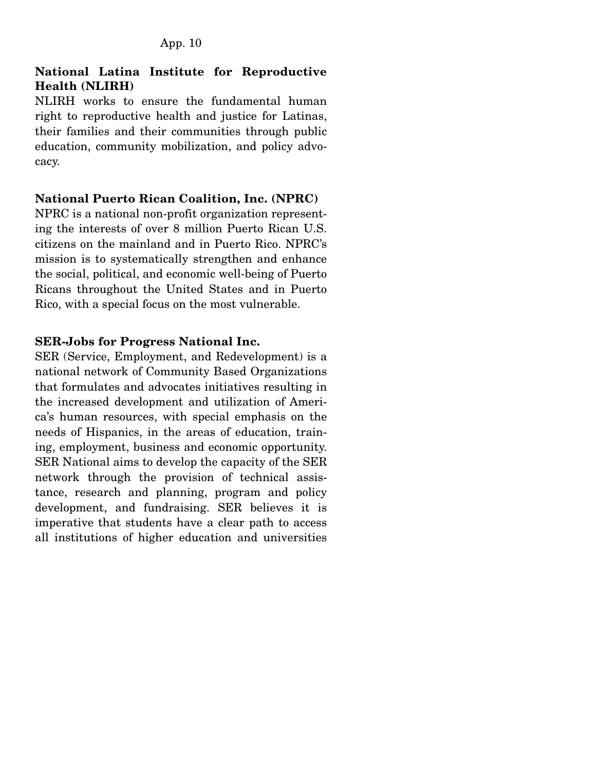# **National Latina Institute for Reproductive Health (NLIRH)**

NLIRH works to ensure the fundamental human right to reproductive health and justice for Latinas, their families and their communities through public education, community mobilization, and policy advocacy.

# **National Puerto Rican Coalition, Inc. (NPRC)**

NPRC is a national non-profit organization representing the interests of over 8 million Puerto Rican U.S. citizens on the mainland and in Puerto Rico. NPRC's mission is to systematically strengthen and enhance the social, political, and economic well-being of Puerto Ricans throughout the United States and in Puerto Rico, with a special focus on the most vulnerable.

# **SER-Jobs for Progress National Inc.**

SER (Service, Employment, and Redevelopment) is a national network of Community Based Organizations that formulates and advocates initiatives resulting in the increased development and utilization of America's human resources, with special emphasis on the needs of Hispanics, in the areas of education, training, employment, business and economic opportunity. SER National aims to develop the capacity of the SER network through the provision of technical assistance, research and planning, program and policy development, and fundraising. SER believes it is imperative that students have a clear path to access all institutions of higher education and universities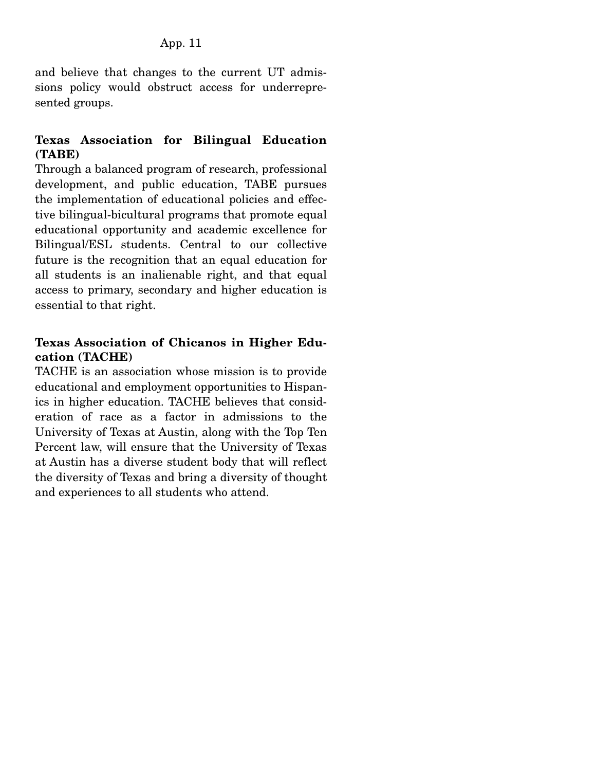and believe that changes to the current UT admissions policy would obstruct access for underrepresented groups.

# **Texas Association for Bilingual Education (TABE)**

Through a balanced program of research, professional development, and public education, TABE pursues the implementation of educational policies and effective bilingual-bicultural programs that promote equal educational opportunity and academic excellence for Bilingual/ESL students. Central to our collective future is the recognition that an equal education for all students is an inalienable right, and that equal access to primary, secondary and higher education is essential to that right.

# **Texas Association of Chicanos in Higher Education (TACHE)**

TACHE is an association whose mission is to provide educational and employment opportunities to Hispanics in higher education. TACHE believes that consideration of race as a factor in admissions to the University of Texas at Austin, along with the Top Ten Percent law, will ensure that the University of Texas at Austin has a diverse student body that will reflect the diversity of Texas and bring a diversity of thought and experiences to all students who attend.